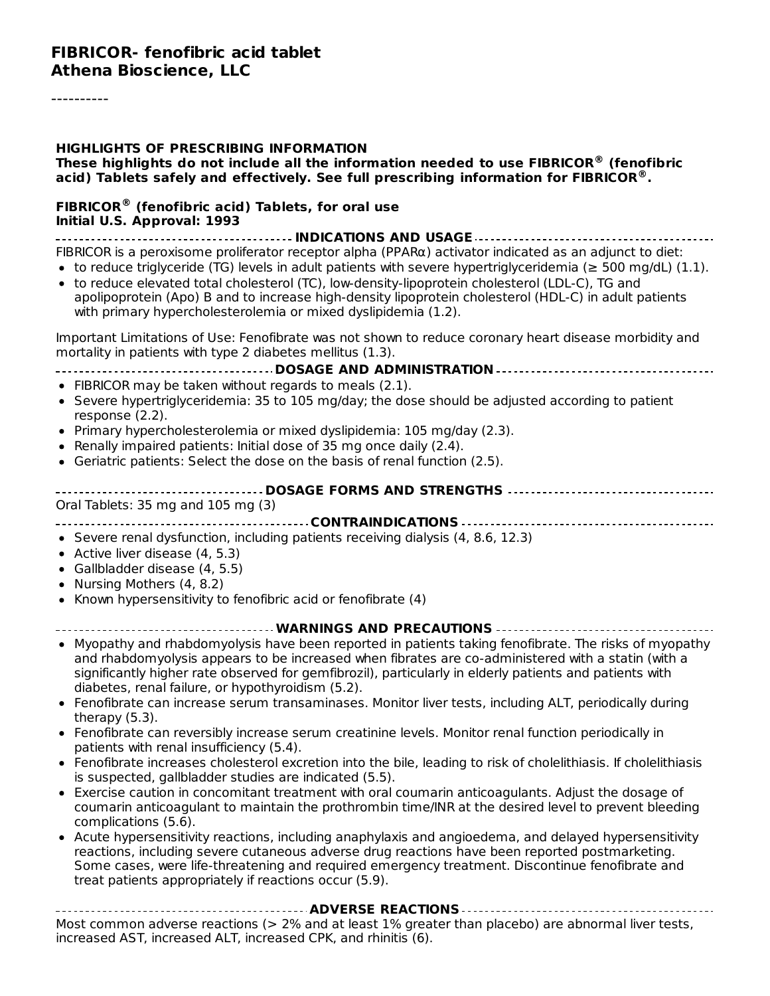#### **FIBRICOR- fenofibric acid tablet Athena Bioscience, LLC**

#### **HIGHLIGHTS OF PRESCRIBING INFORMATION These highlights do not include all the information needed to use FIBRICOR (fenofibric ® acid) Tablets safely and effectively. See full prescribing information for FIBRICOR . ®**

#### **FIBRICOR (fenofibric acid) Tablets, for oral use ®Initial U.S. Approval: 1993**

**INDICATIONS AND USAGE**

FIBRICOR is a peroxisome proliferator receptor alpha (PPARα) activator indicated as an adjunct to diet:

- to reduce triglyceride (TG) levels in adult patients with severe hypertriglyceridemia ( $\geq$  500 mg/dL) (1.1).
- to reduce elevated total cholesterol (TC), low-density-lipoprotein cholesterol (LDL-C), TG and apolipoprotein (Apo) B and to increase high-density lipoprotein cholesterol (HDL-C) in adult patients with primary hypercholesterolemia or mixed dyslipidemia (1.2).

Important Limitations of Use: Fenofibrate was not shown to reduce coronary heart disease morbidity and mortality in patients with type 2 diabetes mellitus (1.3).

#### **DOSAGE AND ADMINISTRATION**

- FIBRICOR may be taken without regards to meals (2.1).
- Severe hypertriglyceridemia: 35 to 105 mg/day; the dose should be adjusted according to patient response (2.2).
- Primary hypercholesterolemia or mixed dyslipidemia: 105 mg/day (2.3).
- Renally impaired patients: Initial dose of 35 mg once daily (2.4).
- Geriatric patients: Select the dose on the basis of renal function  $(2.5)$ .

| Oral Tablets: 35 mg and 105 mg (3) |
|------------------------------------|
| ------------------                 |

**CONTRAINDICATIONS**

- $\bullet$  Severe renal dysfunction, including patients receiving dialysis (4, 8.6, 12.3)
- Active liver disease (4, 5.3)
- Gallbladder disease (4, 5.5)
- Nursing Mothers (4, 8.2)
- Known hypersensitivity to fenofibric acid or fenofibrate (4)

#### **WARNINGS AND PRECAUTIONS**

- Myopathy and rhabdomyolysis have been reported in patients taking fenofibrate. The risks of myopathy and rhabdomyolysis appears to be increased when fibrates are co-administered with a statin (with a significantly higher rate observed for gemfibrozil), particularly in elderly patients and patients with diabetes, renal failure, or hypothyroidism (5.2).
- Fenofibrate can increase serum transaminases. Monitor liver tests, including ALT, periodically during therapy (5.3).
- Fenofibrate can reversibly increase serum creatinine levels. Monitor renal function periodically in patients with renal insufficiency (5.4).
- Fenofibrate increases cholesterol excretion into the bile, leading to risk of cholelithiasis. If cholelithiasis is suspected, gallbladder studies are indicated (5.5).
- Exercise caution in concomitant treatment with oral coumarin anticoagulants. Adjust the dosage of coumarin anticoagulant to maintain the prothrombin time/INR at the desired level to prevent bleeding complications (5.6).
- Acute hypersensitivity reactions, including anaphylaxis and angioedema, and delayed hypersensitivity reactions, including severe cutaneous adverse drug reactions have been reported postmarketing. Some cases, were life-threatening and required emergency treatment. Discontinue fenofibrate and treat patients appropriately if reactions occur (5.9).

**ADVERSE REACTIONS** Most common adverse reactions (> 2% and at least 1% greater than placebo) are abnormal liver tests, increased AST, increased ALT, increased CPK, and rhinitis (6).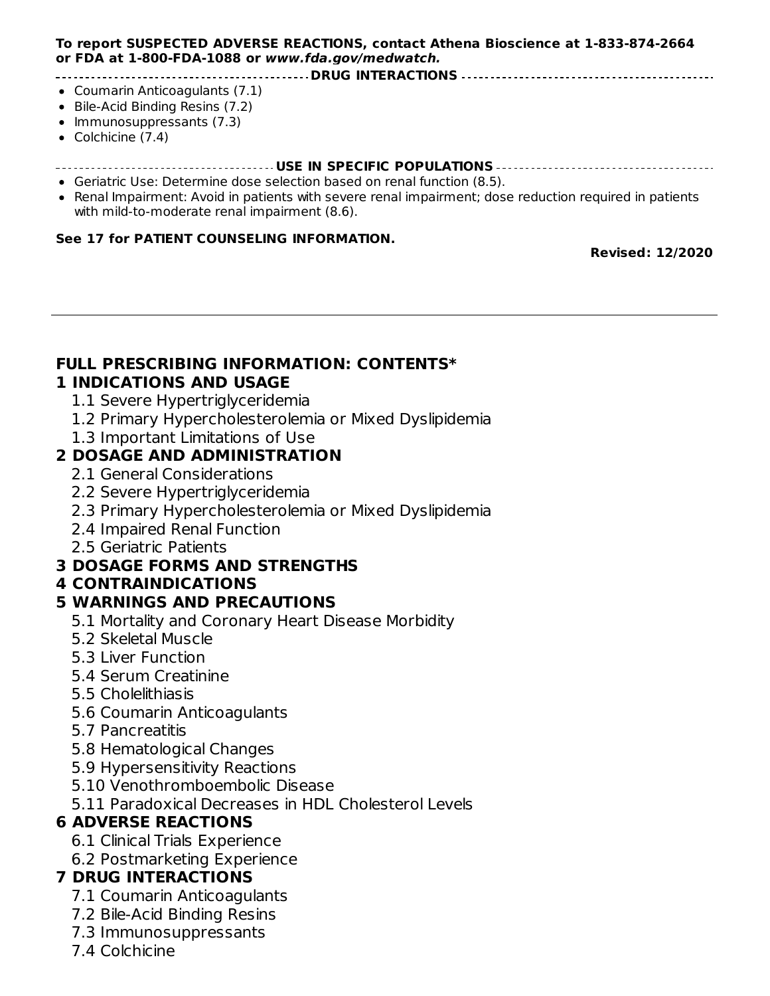#### **To report SUSPECTED ADVERSE REACTIONS, contact Athena Bioscience at 1-833-874-2664 or FDA at 1-800-FDA-1088 or www.fda.gov/medwatch.**

**DRUG INTERACTIONS**

- Coumarin Anticoagulants (7.1)
- Bile-Acid Binding Resins (7.2)
- Immunosuppressants (7.3)
- Colchicine (7.4)

#### **USE IN SPECIFIC POPULATIONS**

- Geriatric Use: Determine dose selection based on renal function (8.5).
- Renal Impairment: Avoid in patients with severe renal impairment; dose reduction required in patients with mild-to-moderate renal impairment (8.6).

#### **See 17 for PATIENT COUNSELING INFORMATION.**

**Revised: 12/2020**

#### **FULL PRESCRIBING INFORMATION: CONTENTS\* 1 INDICATIONS AND USAGE**

- 1.1 Severe Hypertriglyceridemia
- 1.2 Primary Hypercholesterolemia or Mixed Dyslipidemia
- 1.3 Important Limitations of Use

#### **2 DOSAGE AND ADMINISTRATION**

- 2.1 General Considerations
- 2.2 Severe Hypertriglyceridemia
- 2.3 Primary Hypercholesterolemia or Mixed Dyslipidemia
- 2.4 Impaired Renal Function
- 2.5 Geriatric Patients

#### **3 DOSAGE FORMS AND STRENGTHS**

#### **4 CONTRAINDICATIONS**

#### **5 WARNINGS AND PRECAUTIONS**

- 5.1 Mortality and Coronary Heart Disease Morbidity
- 5.2 Skeletal Muscle
- 5.3 Liver Function
- 5.4 Serum Creatinine
- 5.5 Cholelithiasis
- 5.6 Coumarin Anticoagulants
- 5.7 Pancreatitis
- 5.8 Hematological Changes
- 5.9 Hypersensitivity Reactions
- 5.10 Venothromboembolic Disease
- 5.11 Paradoxical Decreases in HDL Cholesterol Levels

#### **6 ADVERSE REACTIONS**

- 6.1 Clinical Trials Experience
- 6.2 Postmarketing Experience

#### **7 DRUG INTERACTIONS**

- 7.1 Coumarin Anticoagulants
- 7.2 Bile-Acid Binding Resins
- 7.3 Immunosuppressants
- 7.4 Colchicine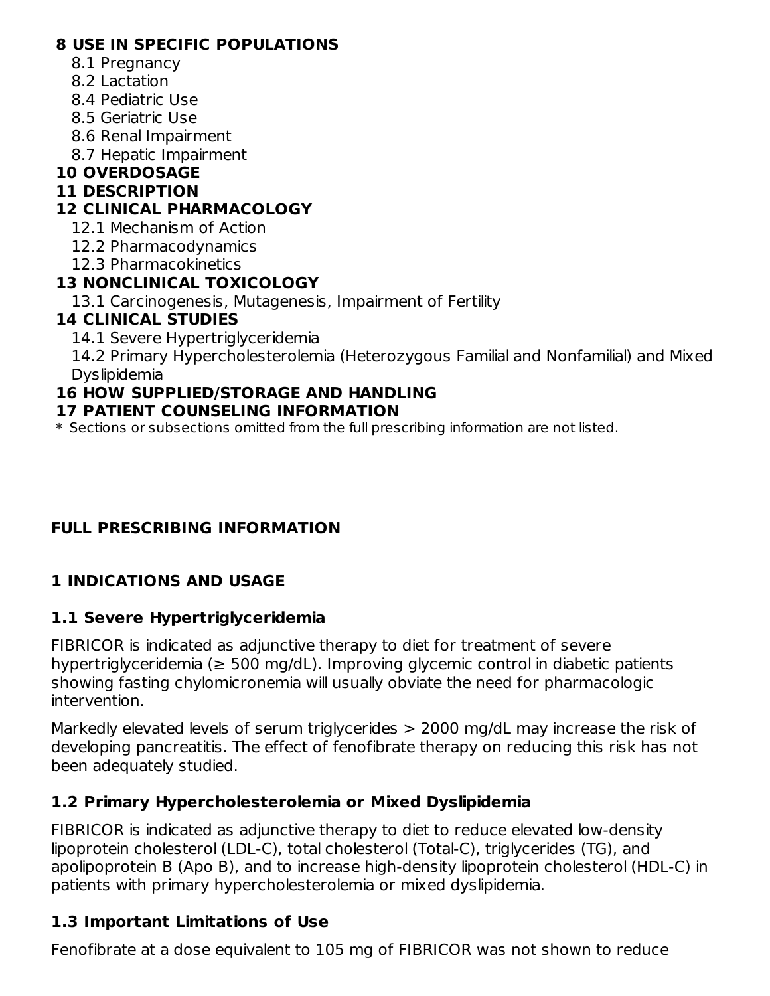#### **8 USE IN SPECIFIC POPULATIONS**

- 8.1 Pregnancy
- 8.2 Lactation
- 8.4 Pediatric Use
- 8.5 Geriatric Use
- 8.6 Renal Impairment
- 8.7 Hepatic Impairment

### **10 OVERDOSAGE**

#### **11 DESCRIPTION**

### **12 CLINICAL PHARMACOLOGY**

- 12.1 Mechanism of Action
- 12.2 Pharmacodynamics
- 12.3 Pharmacokinetics

### **13 NONCLINICAL TOXICOLOGY**

13.1 Carcinogenesis, Mutagenesis, Impairment of Fertility

#### **14 CLINICAL STUDIES**

14.1 Severe Hypertriglyceridemia

14.2 Primary Hypercholesterolemia (Heterozygous Familial and Nonfamilial) and Mixed Dyslipidemia

## **16 HOW SUPPLIED/STORAGE AND HANDLING**

#### **17 PATIENT COUNSELING INFORMATION**

\* Sections or subsections omitted from the full prescribing information are not listed.

## **FULL PRESCRIBING INFORMATION**

## **1 INDICATIONS AND USAGE**

#### **1.1 Severe Hypertriglyceridemia**

FIBRICOR is indicated as adjunctive therapy to diet for treatment of severe hypertriglyceridemia (≥ 500 mg/dL). Improving glycemic control in diabetic patients showing fasting chylomicronemia will usually obviate the need for pharmacologic intervention.

Markedly elevated levels of serum triglycerides > 2000 mg/dL may increase the risk of developing pancreatitis. The effect of fenofibrate therapy on reducing this risk has not been adequately studied.

#### **1.2 Primary Hypercholesterolemia or Mixed Dyslipidemia**

FIBRICOR is indicated as adjunctive therapy to diet to reduce elevated low-density lipoprotein cholesterol (LDL-C), total cholesterol (Total-C), triglycerides (TG), and apolipoprotein B (Apo B), and to increase high-density lipoprotein cholesterol (HDL-C) in patients with primary hypercholesterolemia or mixed dyslipidemia.

## **1.3 Important Limitations of Use**

Fenofibrate at a dose equivalent to 105 mg of FIBRICOR was not shown to reduce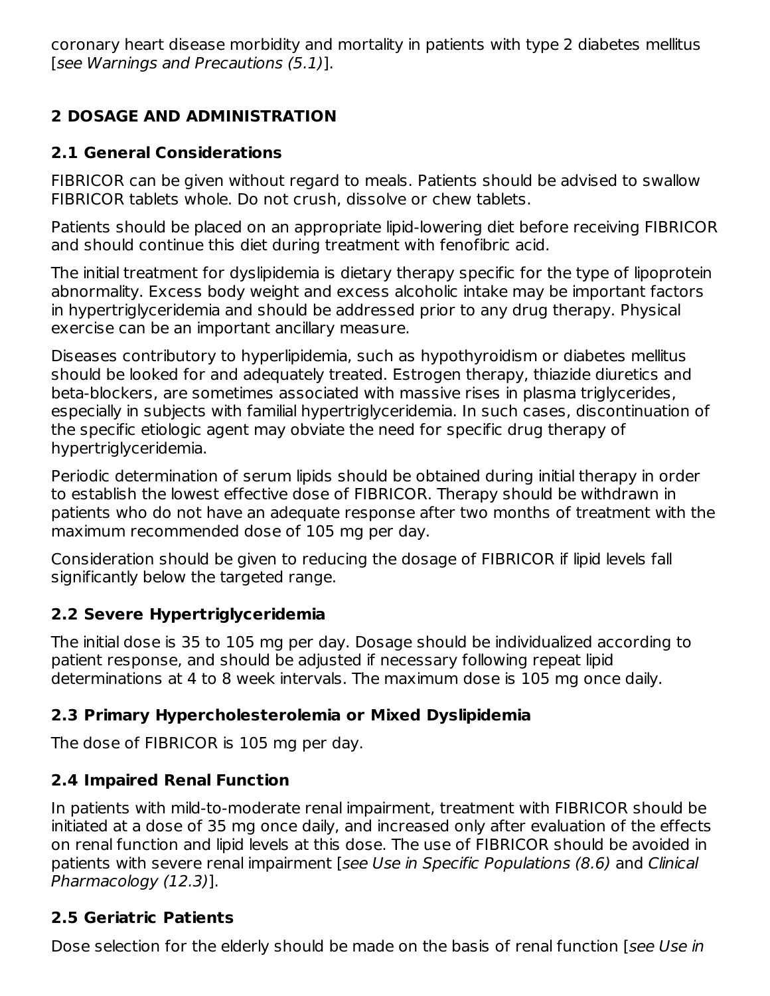coronary heart disease morbidity and mortality in patients with type 2 diabetes mellitus [see Warnings and Precautions (5.1)].

## **2 DOSAGE AND ADMINISTRATION**

#### **2.1 General Considerations**

FIBRICOR can be given without regard to meals. Patients should be advised to swallow FIBRICOR tablets whole. Do not crush, dissolve or chew tablets.

Patients should be placed on an appropriate lipid-lowering diet before receiving FIBRICOR and should continue this diet during treatment with fenofibric acid.

The initial treatment for dyslipidemia is dietary therapy specific for the type of lipoprotein abnormality. Excess body weight and excess alcoholic intake may be important factors in hypertriglyceridemia and should be addressed prior to any drug therapy. Physical exercise can be an important ancillary measure.

Diseases contributory to hyperlipidemia, such as hypothyroidism or diabetes mellitus should be looked for and adequately treated. Estrogen therapy, thiazide diuretics and beta-blockers, are sometimes associated with massive rises in plasma triglycerides, especially in subjects with familial hypertriglyceridemia. In such cases, discontinuation of the specific etiologic agent may obviate the need for specific drug therapy of hypertriglyceridemia.

Periodic determination of serum lipids should be obtained during initial therapy in order to establish the lowest effective dose of FIBRICOR. Therapy should be withdrawn in patients who do not have an adequate response after two months of treatment with the maximum recommended dose of 105 mg per day.

Consideration should be given to reducing the dosage of FIBRICOR if lipid levels fall significantly below the targeted range.

#### **2.2 Severe Hypertriglyceridemia**

The initial dose is 35 to 105 mg per day. Dosage should be individualized according to patient response, and should be adjusted if necessary following repeat lipid determinations at 4 to 8 week intervals. The maximum dose is 105 mg once daily.

#### **2.3 Primary Hypercholesterolemia or Mixed Dyslipidemia**

The dose of FIBRICOR is 105 mg per day.

#### **2.4 Impaired Renal Function**

In patients with mild-to-moderate renal impairment, treatment with FIBRICOR should be initiated at a dose of 35 mg once daily, and increased only after evaluation of the effects on renal function and lipid levels at this dose. The use of FIBRICOR should be avoided in patients with severe renal impairment [see Use in Specific Populations (8.6) and Clinical Pharmacology (12.3)].

#### **2.5 Geriatric Patients**

Dose selection for the elderly should be made on the basis of renal function [see Use in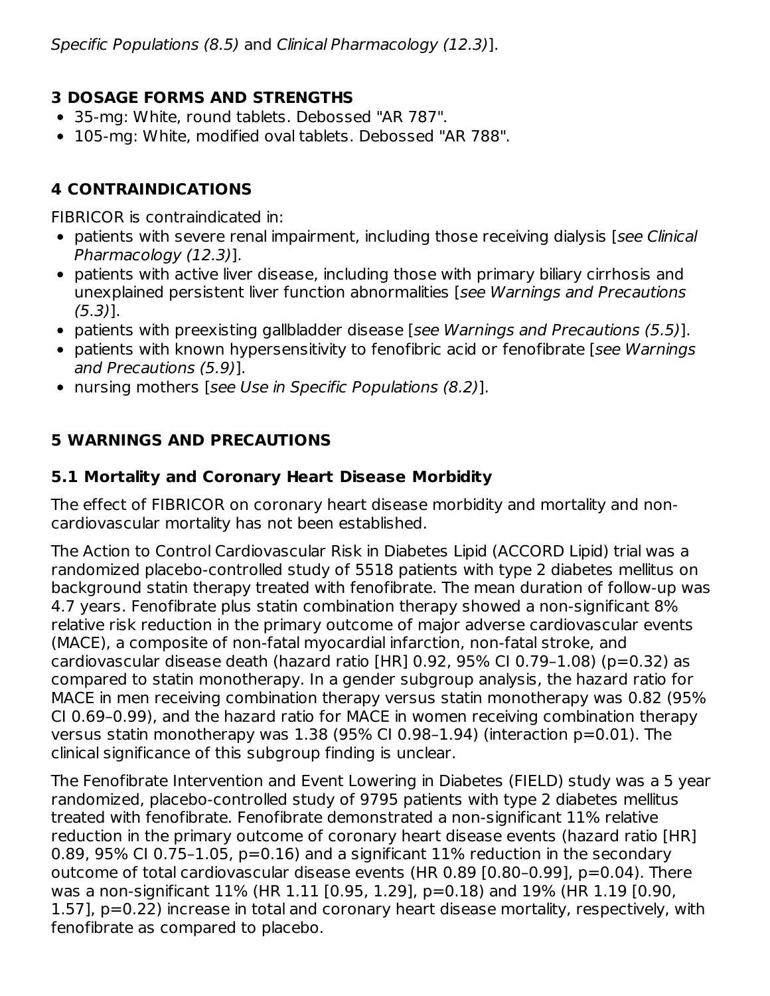## **3 DOSAGE FORMS AND STRENGTHS**

- 35-mg: White, round tablets. Debossed "AR 787".
- 105-mg: White, modified oval tablets. Debossed "AR 788".

# **4 CONTRAINDICATIONS**

FIBRICOR is contraindicated in:

- patients with severe renal impairment, including those receiving dialysis [see Clinical Pharmacology (12.3)].
- patients with active liver disease, including those with primary biliary cirrhosis and unexplained persistent liver function abnormalities [see Warnings and Precautions (5.3)].
- patients with preexisting gallbladder disease [see Warnings and Precautions (5.5)].
- patients with known hypersensitivity to fenofibric acid or fenofibrate [see Warnings] and Precautions (5.9)].
- nursing mothers [see Use in Specific Populations (8.2)].

# **5 WARNINGS AND PRECAUTIONS**

## **5.1 Mortality and Coronary Heart Disease Morbidity**

The effect of FIBRICOR on coronary heart disease morbidity and mortality and noncardiovascular mortality has not been established.

The Action to Control Cardiovascular Risk in Diabetes Lipid (ACCORD Lipid) trial was a randomized placebo-controlled study of 5518 patients with type 2 diabetes mellitus on background statin therapy treated with fenofibrate. The mean duration of follow-up was 4.7 years. Fenofibrate plus statin combination therapy showed a non-significant 8% relative risk reduction in the primary outcome of major adverse cardiovascular events (MACE), a composite of non-fatal myocardial infarction, non-fatal stroke, and cardiovascular disease death (hazard ratio [HR] 0.92, 95% CI 0.79–1.08) (p=0.32) as compared to statin monotherapy. In a gender subgroup analysis, the hazard ratio for MACE in men receiving combination therapy versus statin monotherapy was 0.82 (95% CI 0.69–0.99), and the hazard ratio for MACE in women receiving combination therapy versus statin monotherapy was  $1.38$  (95% CI 0.98-1.94) (interaction  $p=0.01$ ). The clinical significance of this subgroup finding is unclear.

The Fenofibrate Intervention and Event Lowering in Diabetes (FIELD) study was a 5 year randomized, placebo-controlled study of 9795 patients with type 2 diabetes mellitus treated with fenofibrate. Fenofibrate demonstrated a non-significant 11% relative reduction in the primary outcome of coronary heart disease events (hazard ratio [HR] 0.89, 95% CI 0.75-1.05,  $p=0.16$ ) and a significant 11% reduction in the secondary outcome of total cardiovascular disease events (HR 0.89 [0.80–0.99], p=0.04). There was a non-significant 11% (HR 1.11 [0.95, 1.29], p=0.18) and 19% (HR 1.19 [0.90, 1.57], p=0.22) increase in total and coronary heart disease mortality, respectively, with fenofibrate as compared to placebo.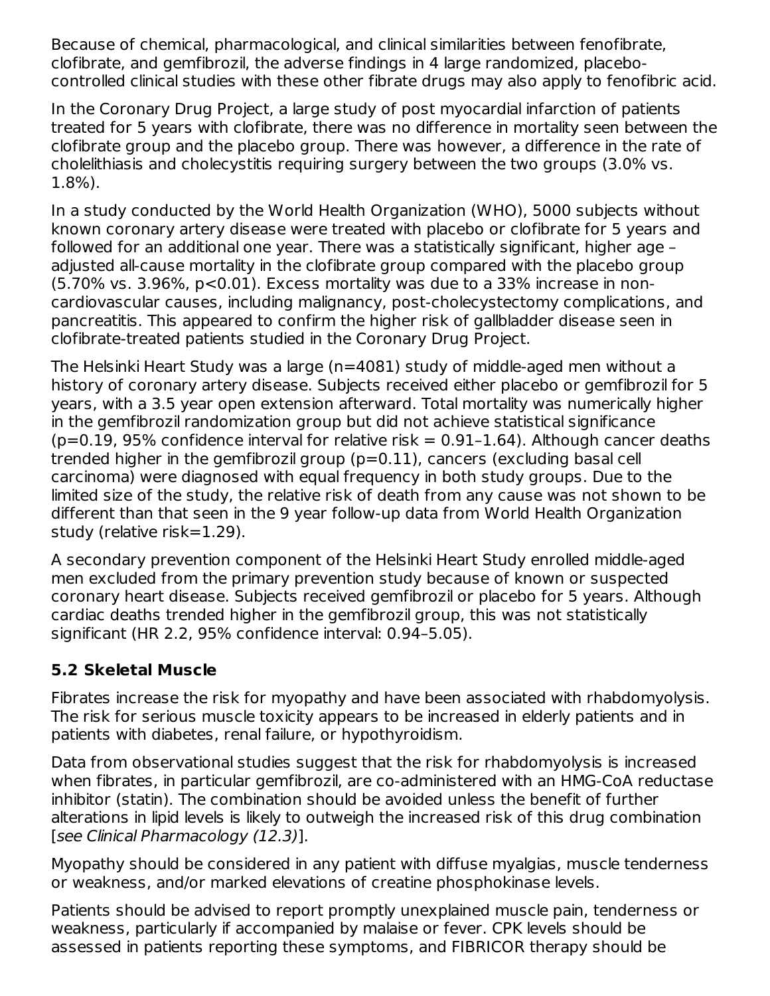Because of chemical, pharmacological, and clinical similarities between fenofibrate, clofibrate, and gemfibrozil, the adverse findings in 4 large randomized, placebocontrolled clinical studies with these other fibrate drugs may also apply to fenofibric acid.

In the Coronary Drug Project, a large study of post myocardial infarction of patients treated for 5 years with clofibrate, there was no difference in mortality seen between the clofibrate group and the placebo group. There was however, a difference in the rate of cholelithiasis and cholecystitis requiring surgery between the two groups (3.0% vs. 1.8%).

In a study conducted by the World Health Organization (WHO), 5000 subjects without known coronary artery disease were treated with placebo or clofibrate for 5 years and followed for an additional one year. There was a statistically significant, higher age – adjusted all-cause mortality in the clofibrate group compared with the placebo group  $(5.70\% \text{ vs. } 3.96\%, \text{ p} < 0.01)$ . Excess mortality was due to a 33% increase in noncardiovascular causes, including malignancy, post-cholecystectomy complications, and pancreatitis. This appeared to confirm the higher risk of gallbladder disease seen in clofibrate-treated patients studied in the Coronary Drug Project.

The Helsinki Heart Study was a large (n=4081) study of middle-aged men without a history of coronary artery disease. Subjects received either placebo or gemfibrozil for 5 years, with a 3.5 year open extension afterward. Total mortality was numerically higher in the gemfibrozil randomization group but did not achieve statistical significance  $(p=0.19, 95\%$  confidence interval for relative risk = 0.91-1.64). Although cancer deaths trended higher in the gemfibrozil group (p=0.11), cancers (excluding basal cell carcinoma) were diagnosed with equal frequency in both study groups. Due to the limited size of the study, the relative risk of death from any cause was not shown to be different than that seen in the 9 year follow-up data from World Health Organization study (relative risk=1.29).

A secondary prevention component of the Helsinki Heart Study enrolled middle-aged men excluded from the primary prevention study because of known or suspected coronary heart disease. Subjects received gemfibrozil or placebo for 5 years. Although cardiac deaths trended higher in the gemfibrozil group, this was not statistically significant (HR 2.2, 95% confidence interval: 0.94–5.05).

## **5.2 Skeletal Muscle**

Fibrates increase the risk for myopathy and have been associated with rhabdomyolysis. The risk for serious muscle toxicity appears to be increased in elderly patients and in patients with diabetes, renal failure, or hypothyroidism.

Data from observational studies suggest that the risk for rhabdomyolysis is increased when fibrates, in particular gemfibrozil, are co-administered with an HMG-CoA reductase inhibitor (statin). The combination should be avoided unless the benefit of further alterations in lipid levels is likely to outweigh the increased risk of this drug combination [see Clinical Pharmacology (12.3)].

Myopathy should be considered in any patient with diffuse myalgias, muscle tenderness or weakness, and/or marked elevations of creatine phosphokinase levels.

Patients should be advised to report promptly unexplained muscle pain, tenderness or weakness, particularly if accompanied by malaise or fever. CPK levels should be assessed in patients reporting these symptoms, and FIBRICOR therapy should be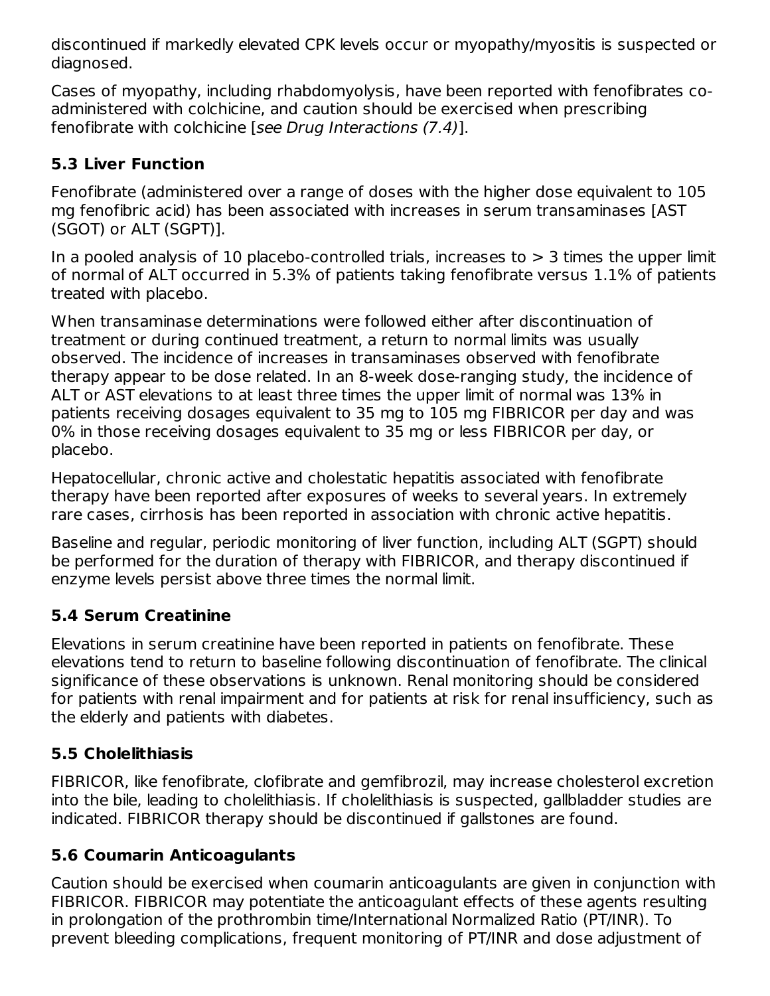discontinued if markedly elevated CPK levels occur or myopathy/myositis is suspected or diagnosed.

Cases of myopathy, including rhabdomyolysis, have been reported with fenofibrates coadministered with colchicine, and caution should be exercised when prescribing fenofibrate with colchicine [see Drug Interactions (7.4)].

### **5.3 Liver Function**

Fenofibrate (administered over a range of doses with the higher dose equivalent to 105 mg fenofibric acid) has been associated with increases in serum transaminases [AST (SGOT) or ALT (SGPT)].

In a pooled analysis of 10 placebo-controlled trials, increases to  $>$  3 times the upper limit of normal of ALT occurred in 5.3% of patients taking fenofibrate versus 1.1% of patients treated with placebo.

When transaminase determinations were followed either after discontinuation of treatment or during continued treatment, a return to normal limits was usually observed. The incidence of increases in transaminases observed with fenofibrate therapy appear to be dose related. In an 8-week dose-ranging study, the incidence of ALT or AST elevations to at least three times the upper limit of normal was 13% in patients receiving dosages equivalent to 35 mg to 105 mg FIBRICOR per day and was 0% in those receiving dosages equivalent to 35 mg or less FIBRICOR per day, or placebo.

Hepatocellular, chronic active and cholestatic hepatitis associated with fenofibrate therapy have been reported after exposures of weeks to several years. In extremely rare cases, cirrhosis has been reported in association with chronic active hepatitis.

Baseline and regular, periodic monitoring of liver function, including ALT (SGPT) should be performed for the duration of therapy with FIBRICOR, and therapy discontinued if enzyme levels persist above three times the normal limit.

## **5.4 Serum Creatinine**

Elevations in serum creatinine have been reported in patients on fenofibrate. These elevations tend to return to baseline following discontinuation of fenofibrate. The clinical significance of these observations is unknown. Renal monitoring should be considered for patients with renal impairment and for patients at risk for renal insufficiency, such as the elderly and patients with diabetes.

## **5.5 Cholelithiasis**

FIBRICOR, like fenofibrate, clofibrate and gemfibrozil, may increase cholesterol excretion into the bile, leading to cholelithiasis. If cholelithiasis is suspected, gallbladder studies are indicated. FIBRICOR therapy should be discontinued if gallstones are found.

## **5.6 Coumarin Anticoagulants**

Caution should be exercised when coumarin anticoagulants are given in conjunction with FIBRICOR. FIBRICOR may potentiate the anticoagulant effects of these agents resulting in prolongation of the prothrombin time/International Normalized Ratio (PT/INR). To prevent bleeding complications, frequent monitoring of PT/INR and dose adjustment of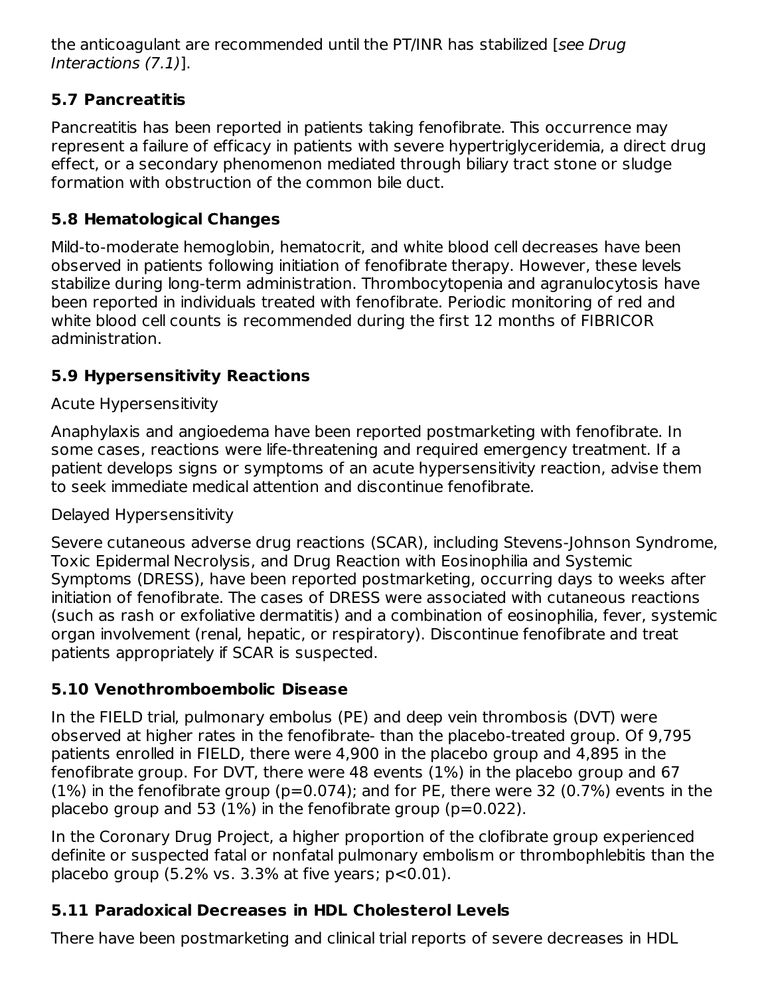the anticoagulant are recommended until the PT/INR has stabilized [see Drug Interactions (7.1)].

## **5.7 Pancreatitis**

Pancreatitis has been reported in patients taking fenofibrate. This occurrence may represent a failure of efficacy in patients with severe hypertriglyceridemia, a direct drug effect, or a secondary phenomenon mediated through biliary tract stone or sludge formation with obstruction of the common bile duct.

## **5.8 Hematological Changes**

Mild-to-moderate hemoglobin, hematocrit, and white blood cell decreases have been observed in patients following initiation of fenofibrate therapy. However, these levels stabilize during long-term administration. Thrombocytopenia and agranulocytosis have been reported in individuals treated with fenofibrate. Periodic monitoring of red and white blood cell counts is recommended during the first 12 months of FIBRICOR administration.

## **5.9 Hypersensitivity Reactions**

## Acute Hypersensitivity

Anaphylaxis and angioedema have been reported postmarketing with fenofibrate. In some cases, reactions were life-threatening and required emergency treatment. If a patient develops signs or symptoms of an acute hypersensitivity reaction, advise them to seek immediate medical attention and discontinue fenofibrate.

## Delayed Hypersensitivity

Severe cutaneous adverse drug reactions (SCAR), including Stevens-Johnson Syndrome, Toxic Epidermal Necrolysis, and Drug Reaction with Eosinophilia and Systemic Symptoms (DRESS), have been reported postmarketing, occurring days to weeks after initiation of fenofibrate. The cases of DRESS were associated with cutaneous reactions (such as rash or exfoliative dermatitis) and a combination of eosinophilia, fever, systemic organ involvement (renal, hepatic, or respiratory). Discontinue fenofibrate and treat patients appropriately if SCAR is suspected.

# **5.10 Venothromboembolic Disease**

In the FIELD trial, pulmonary embolus (PE) and deep vein thrombosis (DVT) were observed at higher rates in the fenofibrate- than the placebo-treated group. Of 9,795 patients enrolled in FIELD, there were 4,900 in the placebo group and 4,895 in the fenofibrate group. For DVT, there were 48 events (1%) in the placebo group and 67  $(1%)$  in the fenofibrate group ( $p=0.074$ ); and for PE, there were 32 (0.7%) events in the placebo group and 53 (1%) in the fenofibrate group ( $p=0.022$ ).

In the Coronary Drug Project, a higher proportion of the clofibrate group experienced definite or suspected fatal or nonfatal pulmonary embolism or thrombophlebitis than the placebo group  $(5.2\% \text{ vs. } 3.3\% \text{ at five years}; \text{ p} < 0.01).$ 

# **5.11 Paradoxical Decreases in HDL Cholesterol Levels**

There have been postmarketing and clinical trial reports of severe decreases in HDL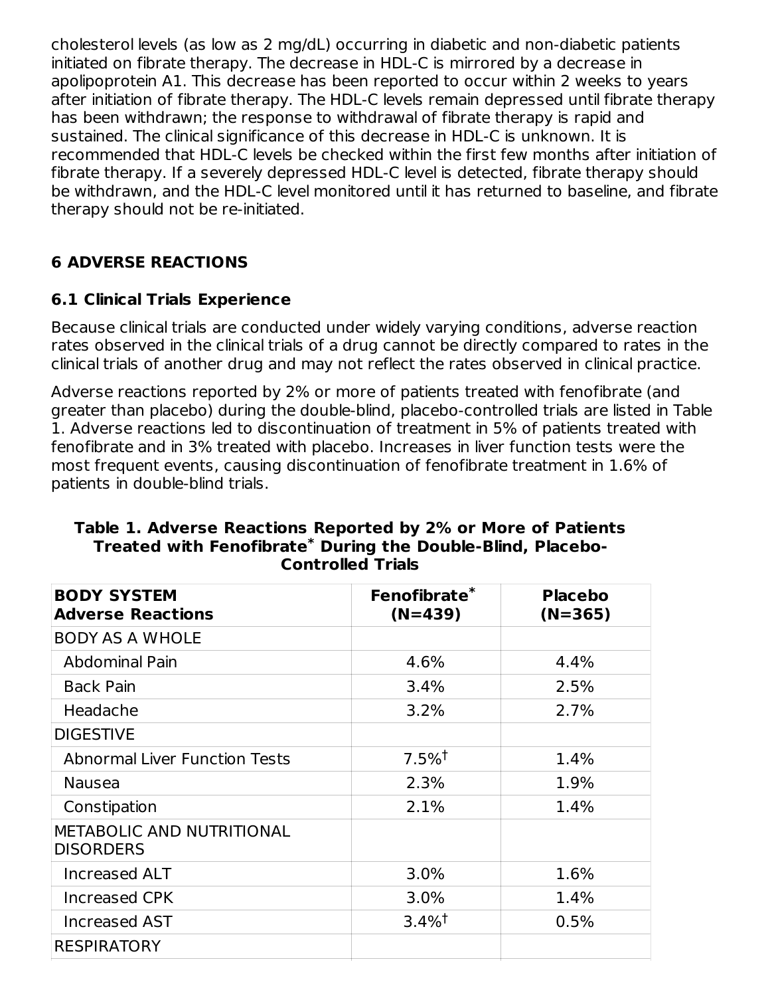cholesterol levels (as low as 2 mg/dL) occurring in diabetic and non-diabetic patients initiated on fibrate therapy. The decrease in HDL-C is mirrored by a decrease in apolipoprotein A1. This decrease has been reported to occur within 2 weeks to years after initiation of fibrate therapy. The HDL-C levels remain depressed until fibrate therapy has been withdrawn; the response to withdrawal of fibrate therapy is rapid and sustained. The clinical significance of this decrease in HDL-C is unknown. It is recommended that HDL-C levels be checked within the first few months after initiation of fibrate therapy. If a severely depressed HDL-C level is detected, fibrate therapy should be withdrawn, and the HDL-C level monitored until it has returned to baseline, and fibrate therapy should not be re-initiated.

## **6 ADVERSE REACTIONS**

#### **6.1 Clinical Trials Experience**

Because clinical trials are conducted under widely varying conditions, adverse reaction rates observed in the clinical trials of a drug cannot be directly compared to rates in the clinical trials of another drug and may not reflect the rates observed in clinical practice.

Adverse reactions reported by 2% or more of patients treated with fenofibrate (and greater than placebo) during the double-blind, placebo-controlled trials are listed in Table 1. Adverse reactions led to discontinuation of treatment in 5% of patients treated with fenofibrate and in 3% treated with placebo. Increases in liver function tests were the most frequent events, causing discontinuation of fenofibrate treatment in 1.6% of patients in double-blind trials.

| Fenofibrate <sup>*</sup><br>$(N=439)$ | <b>Placebo</b><br>$(N=365)$ |  |  |
|---------------------------------------|-----------------------------|--|--|
|                                       |                             |  |  |
| 4.6%                                  | 4.4%                        |  |  |
| 3.4%                                  | 2.5%                        |  |  |
| 3.2%                                  | 2.7%                        |  |  |
|                                       |                             |  |  |
| $7.5%$ <sup>†</sup>                   | 1.4%                        |  |  |
| 2.3%                                  | 1.9%                        |  |  |
| 2.1%                                  | 1.4%                        |  |  |
|                                       |                             |  |  |
| 3.0%                                  | 1.6%                        |  |  |
| 3.0%                                  | 1.4%                        |  |  |
| $3.4\%$ <sup>†</sup>                  | 0.5%                        |  |  |
|                                       |                             |  |  |
|                                       |                             |  |  |

#### **Table 1. Adverse Reactions Reported by 2% or More of Patients Treated with Fenofibrate During the Double-Blind, Placebo-\* Controlled Trials**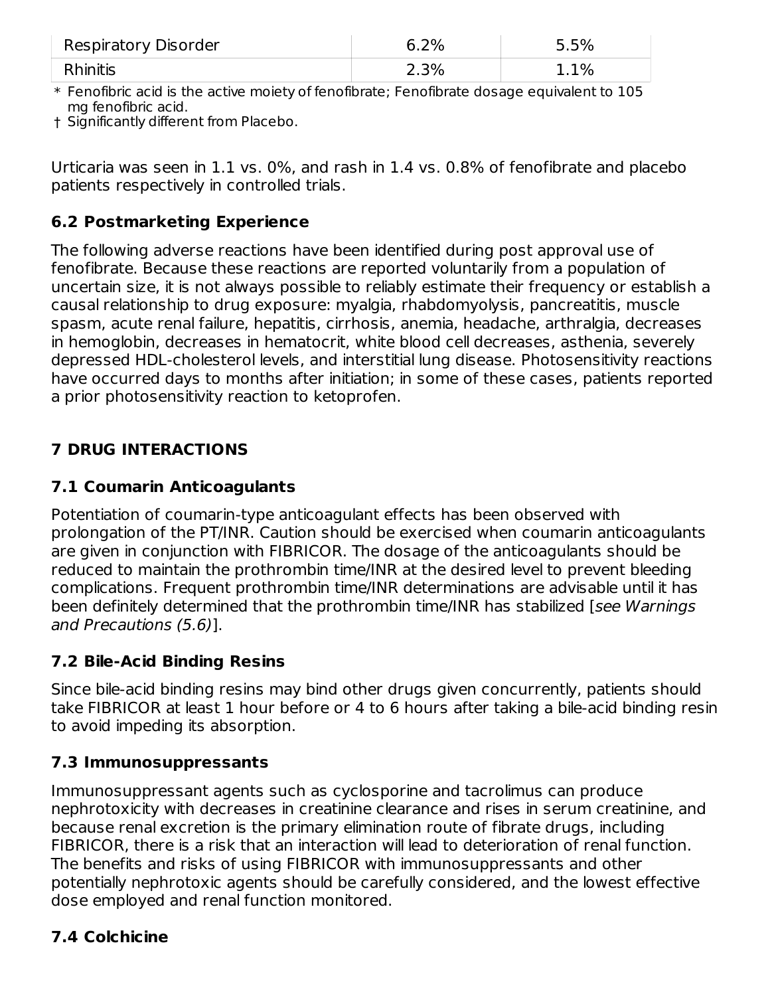| Respiratory Disorder | 6.2% | 5.5%    |
|----------------------|------|---------|
| <b>Rhinitis</b>      | 2.3% | $1.1\%$ |

 $\ast$  Fenofibric acid is the active moiety of fenofibrate; Fenofibrate dosage equivalent to  $105$ mg fenofibric acid.

† Significantly different from Placebo.

Urticaria was seen in 1.1 vs. 0%, and rash in 1.4 vs. 0.8% of fenofibrate and placebo patients respectively in controlled trials.

### **6.2 Postmarketing Experience**

The following adverse reactions have been identified during post approval use of fenofibrate. Because these reactions are reported voluntarily from a population of uncertain size, it is not always possible to reliably estimate their frequency or establish a causal relationship to drug exposure: myalgia, rhabdomyolysis, pancreatitis, muscle spasm, acute renal failure, hepatitis, cirrhosis, anemia, headache, arthralgia, decreases in hemoglobin, decreases in hematocrit, white blood cell decreases, asthenia, severely depressed HDL-cholesterol levels, and interstitial lung disease. Photosensitivity reactions have occurred days to months after initiation; in some of these cases, patients reported a prior photosensitivity reaction to ketoprofen.

## **7 DRUG INTERACTIONS**

## **7.1 Coumarin Anticoagulants**

Potentiation of coumarin-type anticoagulant effects has been observed with prolongation of the PT/INR. Caution should be exercised when coumarin anticoagulants are given in conjunction with FIBRICOR. The dosage of the anticoagulants should be reduced to maintain the prothrombin time/INR at the desired level to prevent bleeding complications. Frequent prothrombin time/INR determinations are advisable until it has been definitely determined that the prothrombin time/INR has stabilized [see Warnings and Precautions (5.6)].

# **7.2 Bile-Acid Binding Resins**

Since bile-acid binding resins may bind other drugs given concurrently, patients should take FIBRICOR at least 1 hour before or 4 to 6 hours after taking a bile-acid binding resin to avoid impeding its absorption.

## **7.3 Immunosuppressants**

Immunosuppressant agents such as cyclosporine and tacrolimus can produce nephrotoxicity with decreases in creatinine clearance and rises in serum creatinine, and because renal excretion is the primary elimination route of fibrate drugs, including FIBRICOR, there is a risk that an interaction will lead to deterioration of renal function. The benefits and risks of using FIBRICOR with immunosuppressants and other potentially nephrotoxic agents should be carefully considered, and the lowest effective dose employed and renal function monitored.

# **7.4 Colchicine**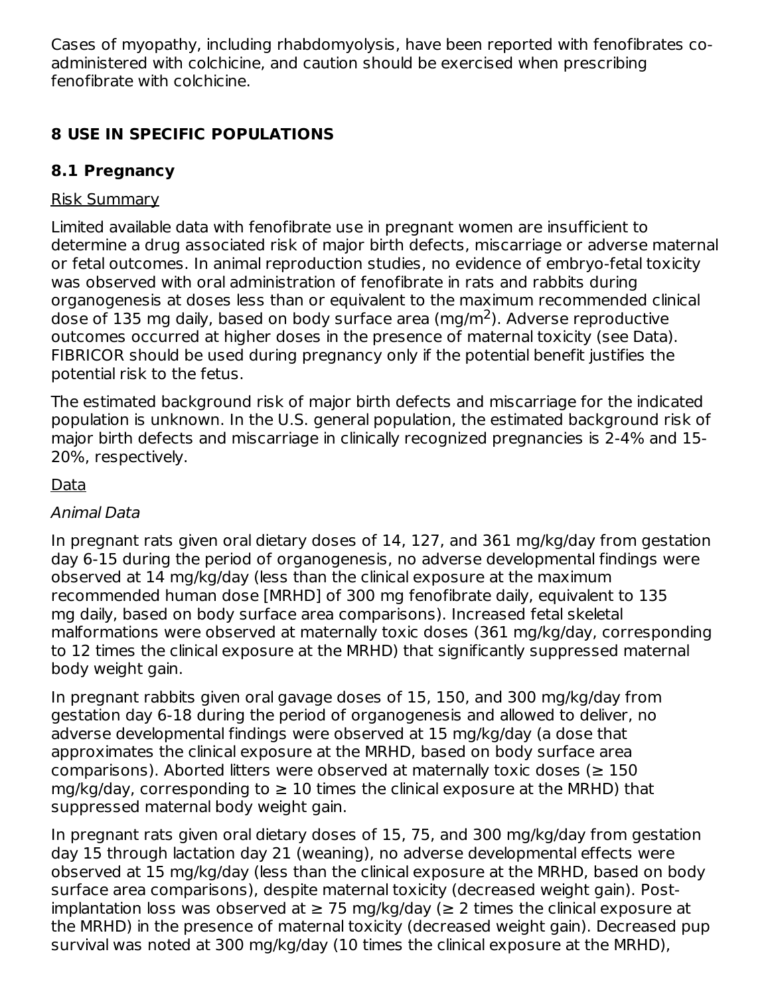Cases of myopathy, including rhabdomyolysis, have been reported with fenofibrates coadministered with colchicine, and caution should be exercised when prescribing fenofibrate with colchicine.

## **8 USE IN SPECIFIC POPULATIONS**

# **8.1 Pregnancy**

## Risk Summary

Limited available data with fenofibrate use in pregnant women are insufficient to determine a drug associated risk of major birth defects, miscarriage or adverse maternal or fetal outcomes. In animal reproduction studies, no evidence of embryo-fetal toxicity was observed with oral administration of fenofibrate in rats and rabbits during organogenesis at doses less than or equivalent to the maximum recommended clinical dose of 135 mg daily, based on body surface area (mg/m<sup>2</sup>). Adverse reproductive outcomes occurred at higher doses in the presence of maternal toxicity (see Data). FIBRICOR should be used during pregnancy only if the potential benefit justifies the potential risk to the fetus.

The estimated background risk of major birth defects and miscarriage for the indicated population is unknown. In the U.S. general population, the estimated background risk of major birth defects and miscarriage in clinically recognized pregnancies is 2-4% and 15- 20%, respectively.

# Data

## Animal Data

In pregnant rats given oral dietary doses of 14, 127, and 361 mg/kg/day from gestation day 6-15 during the period of organogenesis, no adverse developmental findings were observed at 14 mg/kg/day (less than the clinical exposure at the maximum recommended human dose [MRHD] of 300 mg fenofibrate daily, equivalent to 135 mg daily, based on body surface area comparisons). Increased fetal skeletal malformations were observed at maternally toxic doses (361 mg/kg/day, corresponding to 12 times the clinical exposure at the MRHD) that significantly suppressed maternal body weight gain.

In pregnant rabbits given oral gavage doses of 15, 150, and 300 mg/kg/day from gestation day 6-18 during the period of organogenesis and allowed to deliver, no adverse developmental findings were observed at 15 mg/kg/day (a dose that approximates the clinical exposure at the MRHD, based on body surface area comparisons). Aborted litters were observed at maternally toxic doses ( $\geq 150$ mg/kg/day, corresponding to  $\geq 10$  times the clinical exposure at the MRHD) that suppressed maternal body weight gain.

In pregnant rats given oral dietary doses of 15, 75, and 300 mg/kg/day from gestation day 15 through lactation day 21 (weaning), no adverse developmental effects were observed at 15 mg/kg/day (less than the clinical exposure at the MRHD, based on body surface area comparisons), despite maternal toxicity (decreased weight gain). Postimplantation loss was observed at  $\geq$  75 mg/kg/day ( $\geq$  2 times the clinical exposure at the MRHD) in the presence of maternal toxicity (decreased weight gain). Decreased pup survival was noted at 300 mg/kg/day (10 times the clinical exposure at the MRHD),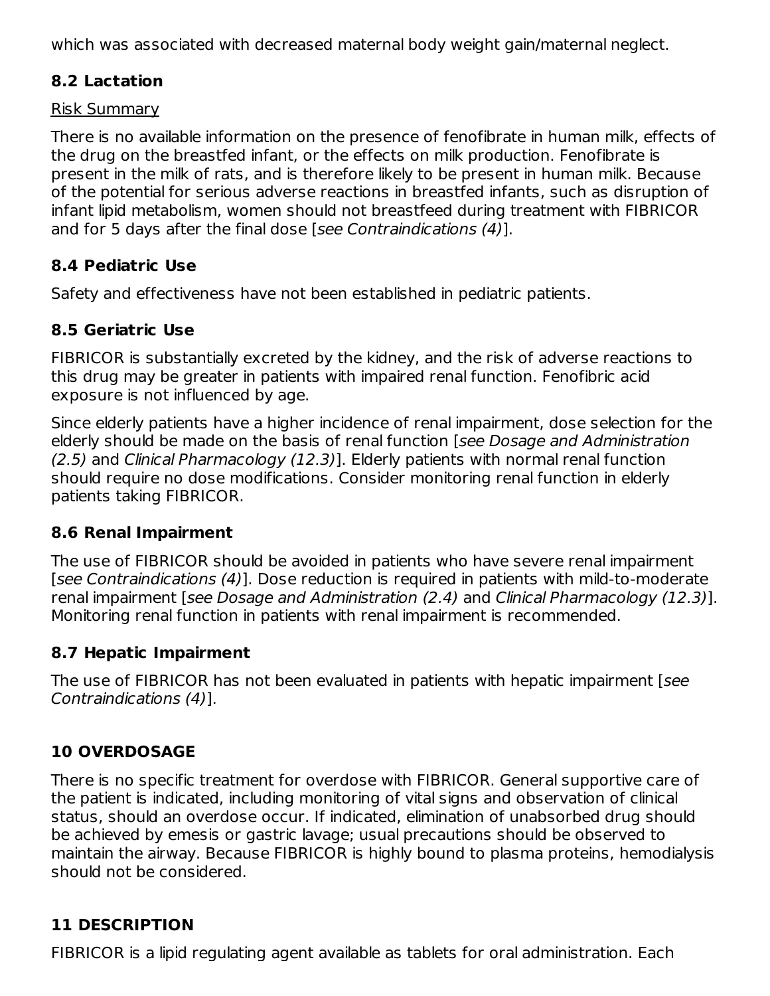which was associated with decreased maternal body weight gain/maternal neglect.

### **8.2 Lactation**

#### Risk Summary

There is no available information on the presence of fenofibrate in human milk, effects of the drug on the breastfed infant, or the effects on milk production. Fenofibrate is present in the milk of rats, and is therefore likely to be present in human milk. Because of the potential for serious adverse reactions in breastfed infants, such as disruption of infant lipid metabolism, women should not breastfeed during treatment with FIBRICOR and for 5 days after the final dose [see Contraindications (4)].

### **8.4 Pediatric Use**

Safety and effectiveness have not been established in pediatric patients.

## **8.5 Geriatric Use**

FIBRICOR is substantially excreted by the kidney, and the risk of adverse reactions to this drug may be greater in patients with impaired renal function. Fenofibric acid exposure is not influenced by age.

Since elderly patients have a higher incidence of renal impairment, dose selection for the elderly should be made on the basis of renal function [see Dosage and Administration (2.5) and Clinical Pharmacology (12.3)]. Elderly patients with normal renal function should require no dose modifications. Consider monitoring renal function in elderly patients taking FIBRICOR.

## **8.6 Renal Impairment**

The use of FIBRICOR should be avoided in patients who have severe renal impairment [see Contraindications (4)]. Dose reduction is required in patients with mild-to-moderate renal impairment [see Dosage and Administration (2.4) and Clinical Pharmacology (12.3)]. Monitoring renal function in patients with renal impairment is recommended.

## **8.7 Hepatic Impairment**

The use of FIBRICOR has not been evaluated in patients with hepatic impairment [see Contraindications (4)].

# **10 OVERDOSAGE**

There is no specific treatment for overdose with FIBRICOR. General supportive care of the patient is indicated, including monitoring of vital signs and observation of clinical status, should an overdose occur. If indicated, elimination of unabsorbed drug should be achieved by emesis or gastric lavage; usual precautions should be observed to maintain the airway. Because FIBRICOR is highly bound to plasma proteins, hemodialysis should not be considered.

# **11 DESCRIPTION**

FIBRICOR is a lipid regulating agent available as tablets for oral administration. Each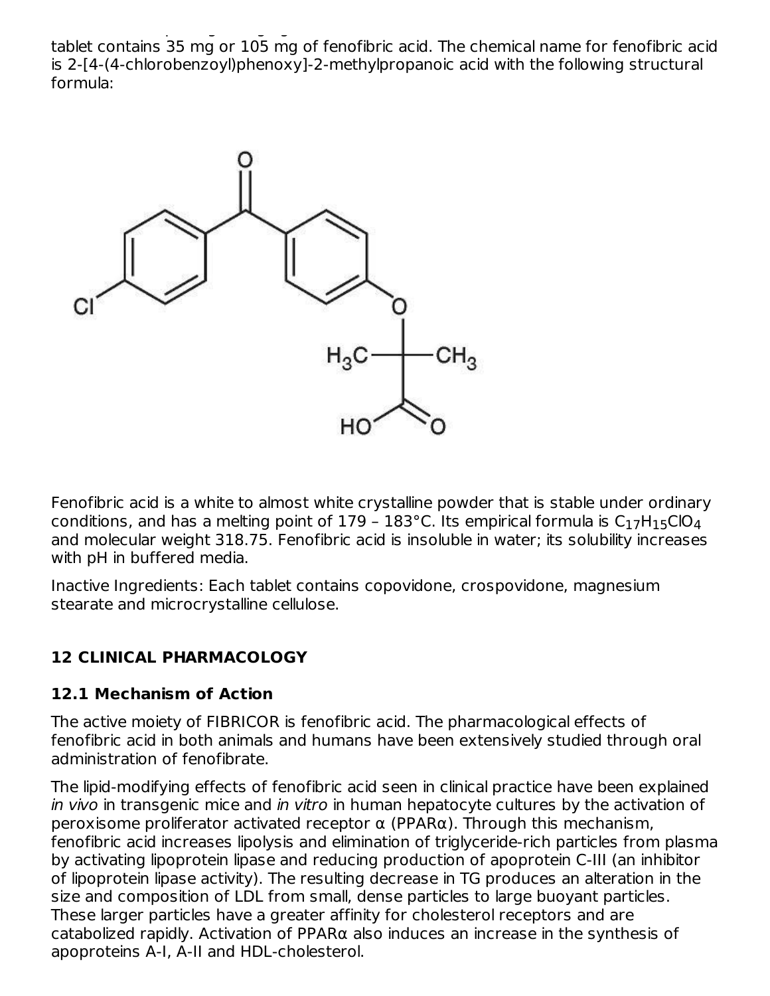FIBRICOR is a lipid regulating agent available as tablets for oral administration. Each tablet contains 35 mg or 105 mg of fenofibric acid. The chemical name for fenofibric acid is 2-[4-(4-chlorobenzoyl)phenoxy]-2-methylpropanoic acid with the following structural formula:



Fenofibric acid is a white to almost white crystalline powder that is stable under ordinary conditions, and has a melting point of 179 – 183°C. Its empirical formula is  $\mathsf{C}_1$ 7H $_1$ 5<code>ClO $_4$ </code> and molecular weight 318.75. Fenofibric acid is insoluble in water; its solubility increases with pH in buffered media.

Inactive Ingredients: Each tablet contains copovidone, crospovidone, magnesium stearate and microcrystalline cellulose.

## **12 CLINICAL PHARMACOLOGY**

#### **12.1 Mechanism of Action**

The active moiety of FIBRICOR is fenofibric acid. The pharmacological effects of fenofibric acid in both animals and humans have been extensively studied through oral administration of fenofibrate.

The lipid-modifying effects of fenofibric acid seen in clinical practice have been explained in vivo in transgenic mice and in vitro in human hepatocyte cultures by the activation of peroxisome proliferator activated receptor  $\alpha$  (PPAR $\alpha$ ). Through this mechanism, fenofibric acid increases lipolysis and elimination of triglyceride-rich particles from plasma by activating lipoprotein lipase and reducing production of apoprotein C-III (an inhibitor of lipoprotein lipase activity). The resulting decrease in TG produces an alteration in the size and composition of LDL from small, dense particles to large buoyant particles. These larger particles have a greater affinity for cholesterol receptors and are catabolized rapidly. Activation of PPAR $\alpha$  also induces an increase in the synthesis of apoproteins A-I, A-II and HDL-cholesterol.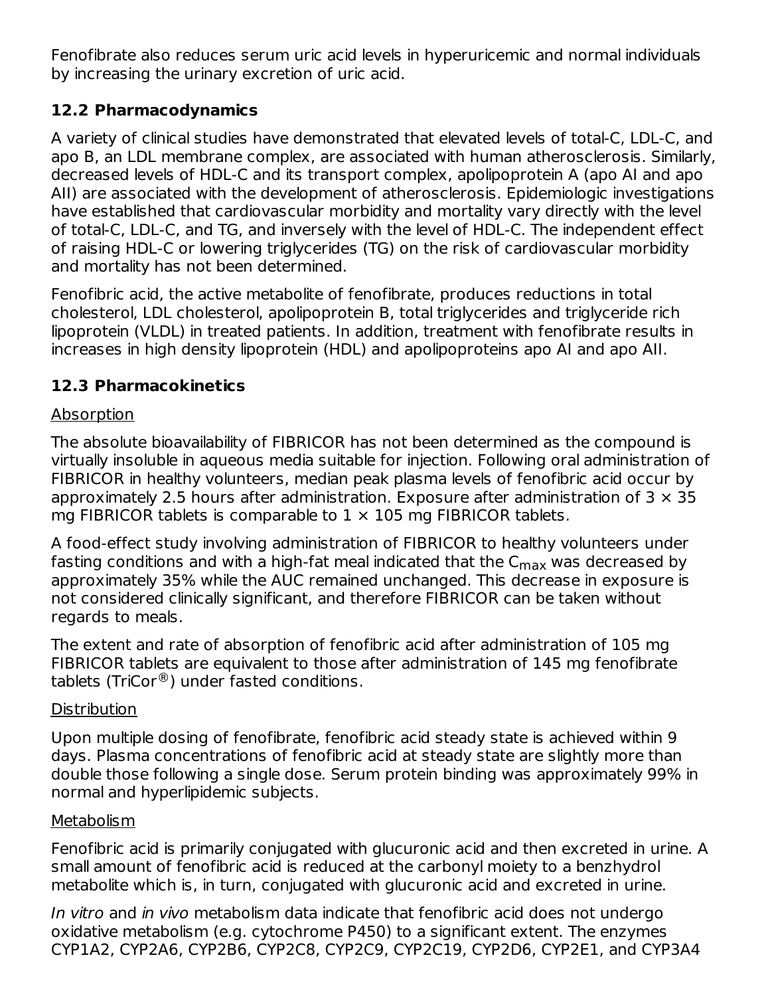Fenofibrate also reduces serum uric acid levels in hyperuricemic and normal individuals by increasing the urinary excretion of uric acid.

### **12.2 Pharmacodynamics**

A variety of clinical studies have demonstrated that elevated levels of total-C, LDL-C, and apo B, an LDL membrane complex, are associated with human atherosclerosis. Similarly, decreased levels of HDL-C and its transport complex, apolipoprotein A (apo AI and apo AII) are associated with the development of atherosclerosis. Epidemiologic investigations have established that cardiovascular morbidity and mortality vary directly with the level of total-C, LDL-C, and TG, and inversely with the level of HDL-C. The independent effect of raising HDL-C or lowering triglycerides (TG) on the risk of cardiovascular morbidity and mortality has not been determined.

Fenofibric acid, the active metabolite of fenofibrate, produces reductions in total cholesterol, LDL cholesterol, apolipoprotein B, total triglycerides and triglyceride rich lipoprotein (VLDL) in treated patients. In addition, treatment with fenofibrate results in increases in high density lipoprotein (HDL) and apolipoproteins apo AI and apo AII.

### **12.3 Pharmacokinetics**

#### Absorption

The absolute bioavailability of FIBRICOR has not been determined as the compound is virtually insoluble in aqueous media suitable for injection. Following oral administration of FIBRICOR in healthy volunteers, median peak plasma levels of fenofibric acid occur by approximately 2.5 hours after administration. Exposure after administration of  $3 \times 35$ mg FIBRICOR tablets is comparable to  $1 \times 105$  mg FIBRICOR tablets.

A food-effect study involving administration of FIBRICOR to healthy volunteers under fasting conditions and with a high-fat meal indicated that the  $\mathsf{C}_{\mathsf{max}}$  was decreased by approximately 35% while the AUC remained unchanged. This decrease in exposure is not considered clinically significant, and therefore FIBRICOR can be taken without regards to meals.

The extent and rate of absorption of fenofibric acid after administration of 105 mg FIBRICOR tablets are equivalent to those after administration of 145 mg fenofibrate tablets (TriCor $^{\circledR}$ ) under fasted conditions.

#### **Distribution**

Upon multiple dosing of fenofibrate, fenofibric acid steady state is achieved within 9 days. Plasma concentrations of fenofibric acid at steady state are slightly more than double those following a single dose. Serum protein binding was approximately 99% in normal and hyperlipidemic subjects.

#### Metabolism

Fenofibric acid is primarily conjugated with glucuronic acid and then excreted in urine. A small amount of fenofibric acid is reduced at the carbonyl moiety to a benzhydrol metabolite which is, in turn, conjugated with glucuronic acid and excreted in urine.

In vitro and in vivo metabolism data indicate that fenofibric acid does not undergo oxidative metabolism (e.g. cytochrome P450) to a significant extent. The enzymes CYP1A2, CYP2A6, CYP2B6, CYP2C8, CYP2C9, CYP2C19, CYP2D6, CYP2E1, and CYP3A4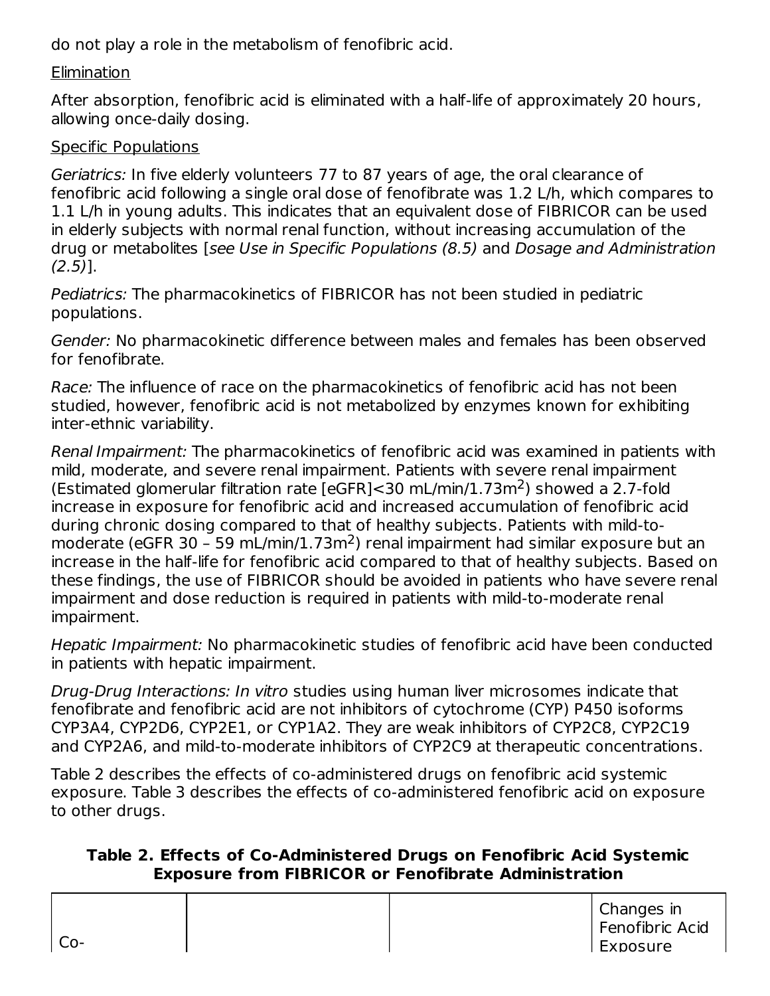do not play a role in the metabolism of fenofibric acid.

#### **Elimination**

After absorption, fenofibric acid is eliminated with a half-life of approximately 20 hours, allowing once-daily dosing.

### Specific Populations

Geriatrics: In five elderly volunteers 77 to 87 years of age, the oral clearance of fenofibric acid following a single oral dose of fenofibrate was 1.2 L/h, which compares to 1.1 L/h in young adults. This indicates that an equivalent dose of FIBRICOR can be used in elderly subjects with normal renal function, without increasing accumulation of the drug or metabolites [see Use in Specific Populations (8.5) and Dosage and Administration  $(2.5)$ ].

Pediatrics: The pharmacokinetics of FIBRICOR has not been studied in pediatric populations.

Gender: No pharmacokinetic difference between males and females has been observed for fenofibrate.

Race: The influence of race on the pharmacokinetics of fenofibric acid has not been studied, however, fenofibric acid is not metabolized by enzymes known for exhibiting inter-ethnic variability.

Renal Impairment: The pharmacokinetics of fenofibric acid was examined in patients with mild, moderate, and severe renal impairment. Patients with severe renal impairment (Estimated glomerular filtration rate [eGFR]<30 mL/min/1.73m<sup>2</sup>) showed a 2.7-fold increase in exposure for fenofibric acid and increased accumulation of fenofibric acid during chronic dosing compared to that of healthy subjects. Patients with mild-tomoderate (eGFR 30 - 59 mL/min/1.73m<sup>2</sup>) renal impairment had similar exposure but an increase in the half-life for fenofibric acid compared to that of healthy subjects. Based on these findings, the use of FIBRICOR should be avoided in patients who have severe renal impairment and dose reduction is required in patients with mild-to-moderate renal impairment.

Hepatic Impairment: No pharmacokinetic studies of fenofibric acid have been conducted in patients with hepatic impairment.

Drug-Drug Interactions: In vitro studies using human liver microsomes indicate that fenofibrate and fenofibric acid are not inhibitors of cytochrome (CYP) P450 isoforms CYP3A4, CYP2D6, CYP2E1, or CYP1A2. They are weak inhibitors of CYP2C8, CYP2C19 and CYP2A6, and mild-to-moderate inhibitors of CYP2C9 at therapeutic concentrations.

Table 2 describes the effects of co-administered drugs on fenofibric acid systemic exposure. Table 3 describes the effects of co-administered fenofibric acid on exposure to other drugs.

#### **Table 2. Effects of Co-Administered Drugs on Fenofibric Acid Systemic Exposure from FIBRICOR or Fenofibrate Administration**

| Co- |  | Changes in<br>Fenofibric Acid<br>l Exposure |
|-----|--|---------------------------------------------|
|     |  |                                             |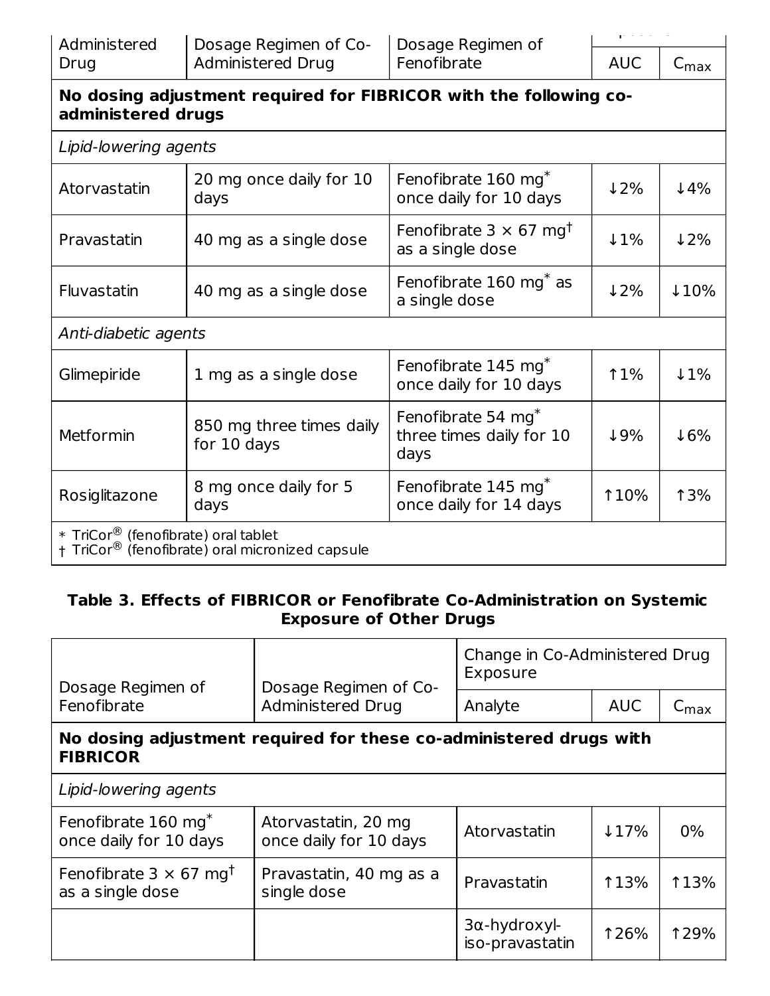| Administered |  |
|--------------|--|
| Drug         |  |

| 7 I T |    |
|-------|----|
| AUC   | С. |

## **No dosing adjustment required for FIBRICOR with the following coadministered drugs**

|  |  | Lipid-lowering agents |  |
|--|--|-----------------------|--|
|--|--|-----------------------|--|

| Atorvastatin         | 20 mg once daily for 10<br>days                                                                                | Fenofibrate 160 mg <sup>*</sup><br>once daily for 10 days          | $\downarrow$ 2% | $4\%$            |  |  |  |
|----------------------|----------------------------------------------------------------------------------------------------------------|--------------------------------------------------------------------|-----------------|------------------|--|--|--|
| Pravastatin          | 40 mg as a single dose                                                                                         | Fenofibrate $3 \times 67$ mg <sup>t</sup><br>as a single dose      | $\downarrow$ 1% | 12%              |  |  |  |
| Fluvastatin          | 40 mg as a single dose                                                                                         | Fenofibrate 160 mg <sup>*</sup> as<br>a single dose                | 12%             | $\downarrow$ 10% |  |  |  |
| Anti-diabetic agents |                                                                                                                |                                                                    |                 |                  |  |  |  |
| Glimepiride          | 1 mg as a single dose                                                                                          | Fenofibrate 145 mg <sup>*</sup><br>once daily for 10 days          | <b>11%</b>      | $\downarrow$ 1%  |  |  |  |
| Metformin            | 850 mg three times daily<br>for 10 days                                                                        | Fenofibrate 54 mg <sup>*</sup><br>three times daily for 10<br>days | 19%             | $\downarrow$ 6%  |  |  |  |
| Rosiglitazone        | 8 mg once daily for 5<br>days                                                                                  | Fenofibrate 145 mg <sup>*</sup><br>once daily for 14 days          | <b>10%</b>      | <b>13%</b>       |  |  |  |
|                      | * $TrCor^{\circledR}$ (fenofibrate) oral tablet<br>† TriCor <sup>®</sup> (fenofibrate) oral micronized capsule |                                                                    |                 |                  |  |  |  |

#### **Table 3. Effects of FIBRICOR or Fenofibrate Co-Administration on Systemic Exposure of Other Drugs**

| Dosage Regimen of                                             | Dosage Regimen of Co-                                              | Change in Co-Administered Drug<br>Exposure |                                |             |
|---------------------------------------------------------------|--------------------------------------------------------------------|--------------------------------------------|--------------------------------|-------------|
| Fenofibrate                                                   | <b>Administered Drug</b>                                           | Analyte                                    | <b>AUC</b><br>$C_{\text{max}}$ |             |
| <b>FIBRICOR</b>                                               | No dosing adjustment required for these co-administered drugs with |                                            |                                |             |
| Lipid-lowering agents                                         |                                                                    |                                            |                                |             |
| Fenofibrate 160 mg <sup>*</sup><br>once daily for 10 days     | Atorvastatin, 20 mg<br>once daily for 10 days                      | Atorvastatin                               | $17\%$                         | $0\%$       |
| Fenofibrate $3 \times 67$ mg <sup>t</sup><br>as a single dose | Pravastatin, 40 mg as a<br>single dose                             | Pravastatin                                | <b>113%</b>                    | <b>113%</b> |
|                                                               |                                                                    | $3\alpha$ -hydroxyl-<br>iso-pravastatin    | <b>126%</b>                    | <b>129%</b> |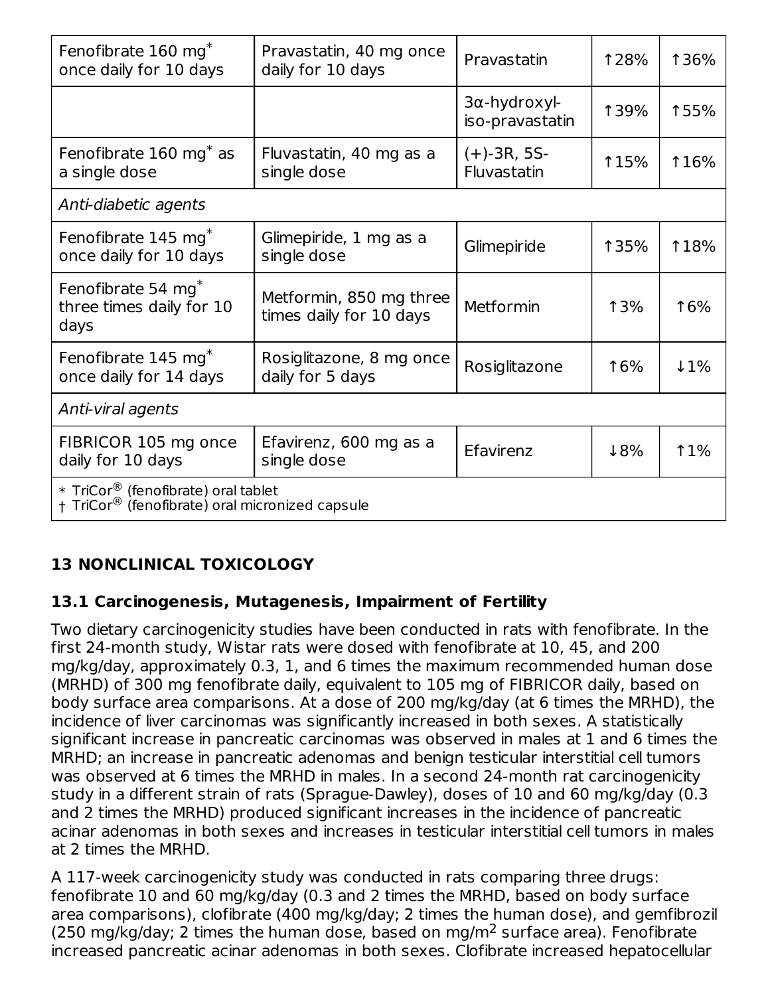| Fenofibrate 160 mg <sup>*</sup><br>once daily for 10 days                                          | Pravastatin, 40 mg once<br>daily for 10 days       | Pravastatin                     | <b>128%</b> | <b>136%</b>     |  |  |  |
|----------------------------------------------------------------------------------------------------|----------------------------------------------------|---------------------------------|-------------|-----------------|--|--|--|
|                                                                                                    |                                                    | 3α-hydroxyl-<br>iso-pravastatin | <b>139%</b> | 155%            |  |  |  |
| Fenofibrate 160 mg <sup>*</sup> as<br>a single dose                                                | Fluvastatin, 40 mg as a<br>single dose             | $(+)$ -3R, 5S-<br>Fluvastatin   | <b>115%</b> | <b>116%</b>     |  |  |  |
| Anti-diabetic agents                                                                               |                                                    |                                 |             |                 |  |  |  |
| Fenofibrate 145 mg <sup>*</sup><br>once daily for 10 days                                          | Glimepiride, 1 mg as a<br>single dose              | Glimepiride                     | <b>135%</b> | <b>18%</b>      |  |  |  |
| Fenofibrate 54 mg <sup>*</sup><br>three times daily for 10<br>days                                 | Metformin, 850 mg three<br>times daily for 10 days | Metformin                       | <b>13%</b>  | 16%             |  |  |  |
| Fenofibrate 145 mg <sup>*</sup><br>once daily for 14 days                                          | Rosiglitazone, 8 mg once<br>daily for 5 days       | Rosiglitazone                   | 16%         | $\downarrow$ 1% |  |  |  |
| Anti-viral agents                                                                                  |                                                    |                                 |             |                 |  |  |  |
| FIBRICOR 105 mg once<br>daily for 10 days                                                          | Efavirenz, 600 mg as a<br>single dose              | Efavirenz                       | 18%         | <b>11%</b>      |  |  |  |
| * TriCor <sup>®</sup> (fenofibrate) oral tablet<br>† TriCor® (fenofibrate) oral micronized capsule |                                                    |                                 |             |                 |  |  |  |

# **13 NONCLINICAL TOXICOLOGY**

#### **13.1 Carcinogenesis, Mutagenesis, Impairment of Fertility**

Two dietary carcinogenicity studies have been conducted in rats with fenofibrate. In the first 24-month study, Wistar rats were dosed with fenofibrate at 10, 45, and 200 mg/kg/day, approximately 0.3, 1, and 6 times the maximum recommended human dose (MRHD) of 300 mg fenofibrate daily, equivalent to 105 mg of FIBRICOR daily, based on body surface area comparisons. At a dose of 200 mg/kg/day (at 6 times the MRHD), the incidence of liver carcinomas was significantly increased in both sexes. A statistically significant increase in pancreatic carcinomas was observed in males at 1 and 6 times the MRHD; an increase in pancreatic adenomas and benign testicular interstitial cell tumors was observed at 6 times the MRHD in males. In a second 24-month rat carcinogenicity study in a different strain of rats (Sprague-Dawley), doses of 10 and 60 mg/kg/day (0.3 and 2 times the MRHD) produced significant increases in the incidence of pancreatic acinar adenomas in both sexes and increases in testicular interstitial cell tumors in males at 2 times the MRHD.

A 117-week carcinogenicity study was conducted in rats comparing three drugs: fenofibrate 10 and 60 mg/kg/day (0.3 and 2 times the MRHD, based on body surface area comparisons), clofibrate (400 mg/kg/day; 2 times the human dose), and gemfibrozil (250 mg/kg/day; 2 times the human dose, based on mg/m<sup>2</sup> surface area). Fenofibrate increased pancreatic acinar adenomas in both sexes. Clofibrate increased hepatocellular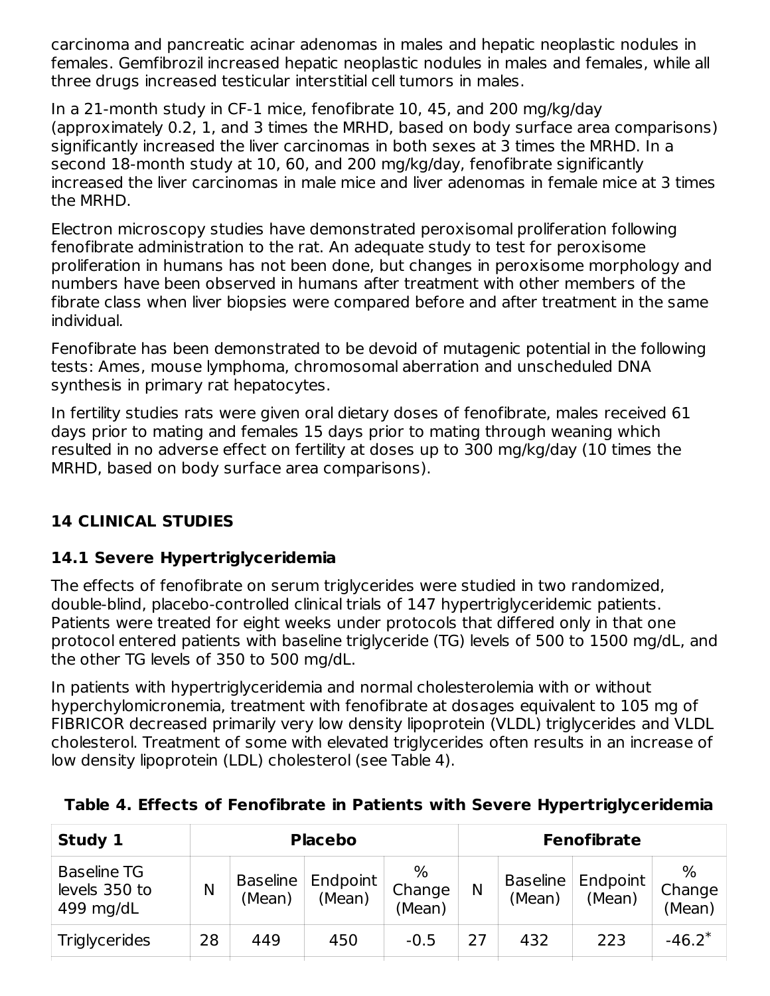carcinoma and pancreatic acinar adenomas in males and hepatic neoplastic nodules in females. Gemfibrozil increased hepatic neoplastic nodules in males and females, while all three drugs increased testicular interstitial cell tumors in males.

In a 21-month study in CF-1 mice, fenofibrate 10, 45, and 200 mg/kg/day (approximately 0.2, 1, and 3 times the MRHD, based on body surface area comparisons) significantly increased the liver carcinomas in both sexes at 3 times the MRHD. In a second 18-month study at 10, 60, and 200 mg/kg/day, fenofibrate significantly increased the liver carcinomas in male mice and liver adenomas in female mice at 3 times the MRHD.

Electron microscopy studies have demonstrated peroxisomal proliferation following fenofibrate administration to the rat. An adequate study to test for peroxisome proliferation in humans has not been done, but changes in peroxisome morphology and numbers have been observed in humans after treatment with other members of the fibrate class when liver biopsies were compared before and after treatment in the same individual.

Fenofibrate has been demonstrated to be devoid of mutagenic potential in the following tests: Ames, mouse lymphoma, chromosomal aberration and unscheduled DNA synthesis in primary rat hepatocytes.

In fertility studies rats were given oral dietary doses of fenofibrate, males received 61 days prior to mating and females 15 days prior to mating through weaning which resulted in no adverse effect on fertility at doses up to 300 mg/kg/day (10 times the MRHD, based on body surface area comparisons).

## **14 CLINICAL STUDIES**

## **14.1 Severe Hypertriglyceridemia**

The effects of fenofibrate on serum triglycerides were studied in two randomized, double-blind, placebo-controlled clinical trials of 147 hypertriglyceridemic patients. Patients were treated for eight weeks under protocols that differed only in that one protocol entered patients with baseline triglyceride (TG) levels of 500 to 1500 mg/dL, and the other TG levels of 350 to 500 mg/dL.

In patients with hypertriglyceridemia and normal cholesterolemia with or without hyperchylomicronemia, treatment with fenofibrate at dosages equivalent to 105 mg of FIBRICOR decreased primarily very low density lipoprotein (VLDL) triglycerides and VLDL cholesterol. Treatment of some with elevated triglycerides often results in an increase of low density lipoprotein (LDL) cholesterol (see Table 4).

| Study 1                                          | <b>Placebo</b> |                           |                    |                       | <b>Fenofibrate</b> |                           |                    |                          |
|--------------------------------------------------|----------------|---------------------------|--------------------|-----------------------|--------------------|---------------------------|--------------------|--------------------------|
| <b>Baseline TG</b><br>levels 350 to<br>499 mg/dL | Ν              | <b>Baseline</b><br>(Mean) | Endpoint<br>(Mean) | %<br>Change<br>(Mean) |                    | <b>Baseline</b><br>(Mean) | Endpoint<br>(Mean) | $\%$<br>Change<br>(Mean) |
| <b>Triglycerides</b>                             | 28             | 449                       | 450                | $-0.5$                | 27                 | 432                       | 223                | $-46.2*$                 |

#### **Table 4. Effects of Fenofibrate in Patients with Severe Hypertriglyceridemia**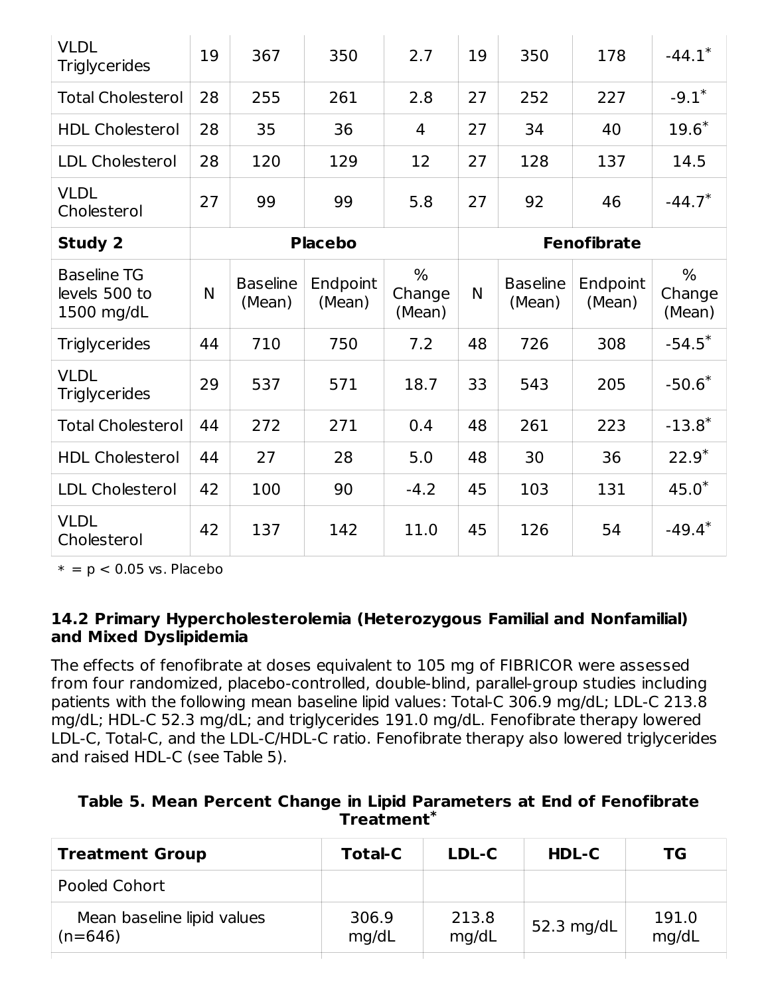| <b>VLDL</b><br><b>Triglycerides</b>               | 19 | 367                       | 350                | 2.7                               | 19 | 350                       | 178                | $-44.1*$                 |
|---------------------------------------------------|----|---------------------------|--------------------|-----------------------------------|----|---------------------------|--------------------|--------------------------|
| <b>Total Cholesterol</b>                          | 28 | 255                       | 261                | 2.8                               | 27 | 252                       | 227                | $-9.1*$                  |
| <b>HDL Cholesterol</b>                            | 28 | 35                        | 36                 | 4                                 | 27 | 34                        | 40                 | $19.6*$                  |
| <b>LDL Cholesterol</b>                            | 28 | 120                       | 129                | 12                                | 27 | 128                       | 137                | 14.5                     |
| <b>VLDL</b><br>Cholesterol                        | 27 | 99                        | 99                 | 5.8                               | 27 | 92                        | 46                 | $-44.7*$                 |
| <b>Study 2</b>                                    |    |                           | <b>Placebo</b>     |                                   |    |                           | <b>Fenofibrate</b> |                          |
| <b>Baseline TG</b><br>levels 500 to<br>1500 mg/dL | N  | <b>Baseline</b><br>(Mean) | Endpoint<br>(Mean) | $\frac{9}{6}$<br>Change<br>(Mean) | N  | <b>Baseline</b><br>(Mean) | Endpoint<br>(Mean) | $\%$<br>Change<br>(Mean) |
| <b>Triglycerides</b>                              | 44 | 710                       | 750                | 7.2                               | 48 | 726                       | 308                | $-54.5^*$                |
| <b>VLDL</b><br><b>Triglycerides</b>               | 29 | 537                       | 571                | 18.7                              | 33 | 543                       | 205                | $-50.6*$                 |
| <b>Total Cholesterol</b>                          | 44 | 272                       | 271                | 0.4                               | 48 | 261                       | 223                | $-13.8*$                 |
| <b>HDL Cholesterol</b>                            | 44 | 27                        | 28                 | 5.0                               | 48 | 30                        | 36                 | $22.9*$                  |
| <b>LDL Cholesterol</b>                            | 42 | 100                       | 90                 | $-4.2$                            | 45 | 103                       | 131                | $45.0*$                  |
| <b>VLDL</b><br>Cholesterol                        | 42 | 137                       | 142                | 11.0                              | 45 | 126                       | 54                 | $-49.4*$                 |

 $* = p < 0.05$  vs. Placebo

#### **14.2 Primary Hypercholesterolemia (Heterozygous Familial and Nonfamilial) and Mixed Dyslipidemia**

The effects of fenofibrate at doses equivalent to 105 mg of FIBRICOR were assessed from four randomized, placebo-controlled, double-blind, parallel-group studies including patients with the following mean baseline lipid values: Total-C 306.9 mg/dL; LDL-C 213.8 mg/dL; HDL-C 52.3 mg/dL; and triglycerides 191.0 mg/dL. Fenofibrate therapy lowered LDL-C, Total-C, and the LDL-C/HDL-C ratio. Fenofibrate therapy also lowered triglycerides and raised HDL-C (see Table 5).

| Table 5. Mean Percent Change in Lipid Parameters at End of Fenofibrate |                        |  |  |
|------------------------------------------------------------------------|------------------------|--|--|
|                                                                        | Treatment <sup>*</sup> |  |  |

| <b>Treatment Group</b>                  | <b>Total-C</b> | LDL-C          | <b>HDL-C</b> | ТG             |
|-----------------------------------------|----------------|----------------|--------------|----------------|
| Pooled Cohort                           |                |                |              |                |
| Mean baseline lipid values<br>$(n=646)$ | 306.9<br>mg/dL | 213.8<br>mq/dL | 52.3 $mq/dL$ | 191.0<br>mg/dL |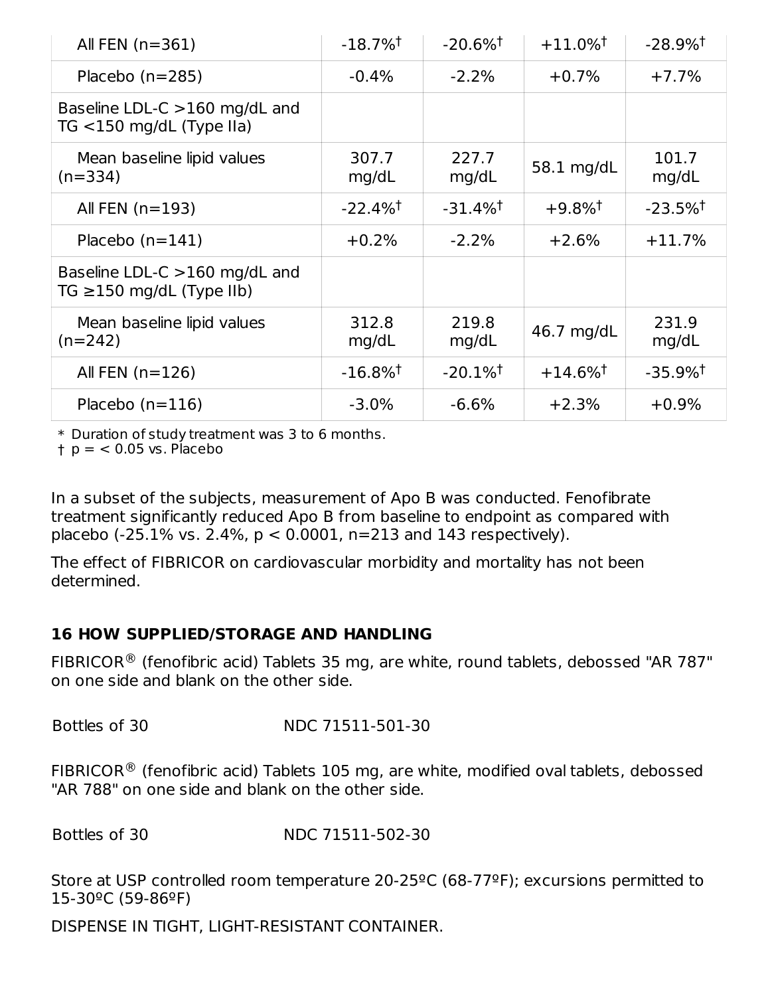| All FEN $(n=361)$                                               | $-18.7\%$ <sup>†</sup> | $-20.6\%$ <sup>†</sup> | $+11.0\%$ <sup>†</sup> | $-28.9\%$ <sup>†</sup> |
|-----------------------------------------------------------------|------------------------|------------------------|------------------------|------------------------|
| Placebo $(n=285)$                                               | $-0.4%$                | $-2.2%$                | $+0.7%$                | $+7.7%$                |
| Baseline LDL-C $>160$ mg/dL and<br>TG $<$ 150 mg/dL (Type IIa)  |                        |                        |                        |                        |
| Mean baseline lipid values<br>$(n=334)$                         | 307.7<br>mg/dL         | 227.7<br>mg/dL         | 58.1 mg/dL             | 101.7<br>mg/dL         |
| All FEN $(n=193)$                                               | $-22.4\%$ <sup>†</sup> | $-31.4\%$ <sup>†</sup> | $+9.8\%$ <sup>†</sup>  | $-23.5\%$ <sup>†</sup> |
| Placebo $(n=141)$                                               | $+0.2%$                | $-2.2%$                | $+2.6%$                | $+11.7%$               |
| Baseline LDL-C >160 mg/dL and<br>TG $\geq$ 150 mg/dL (Type IIb) |                        |                        |                        |                        |
| Mean baseline lipid values<br>$(n=242)$                         | 312.8<br>mg/dL         | 219.8<br>mg/dL         | 46.7 mg/dL             | 231.9<br>mg/dL         |
| All FEN $(n=126)$                                               | $-16.8\%$ <sup>†</sup> | $-20.1\%$ <sup>†</sup> | $+14.6\%$ <sup>†</sup> | $-35.9\%$ <sup>†</sup> |
| Placebo $(n=116)$                                               | $-3.0%$                | $-6.6%$                | $+2.3%$                | $+0.9%$                |

\* Duration of study treatment was 3 to 6 months.

† p = < 0.05 vs. Placebo

In a subset of the subjects, measurement of Apo B was conducted. Fenofibrate treatment significantly reduced Apo B from baseline to endpoint as compared with placebo (-25.1% vs. 2.4%, p < 0.0001, n=213 and 143 respectively).

The effect of FIBRICOR on cardiovascular morbidity and mortality has not been determined.

#### **16 HOW SUPPLIED/STORAGE AND HANDLING**

FIBRICOR $^{\circledR}$  (fenofibric acid) Tablets 35 mg, are white, round tablets, debossed "AR 787" on one side and blank on the other side.

Bottles of 30 NDC 71511-501-30

FIBRICOR $^{\circledR}$  (fenofibric acid) Tablets 105 mg, are white, modified oval tablets, debossed "AR 788" on one side and blank on the other side.

Bottles of 30 NDC 71511-502-30

Store at USP controlled room temperature 20-25ºC (68-77ºF); excursions permitted to 15-30ºC (59-86ºF)

DISPENSE IN TIGHT, LIGHT-RESISTANT CONTAINER.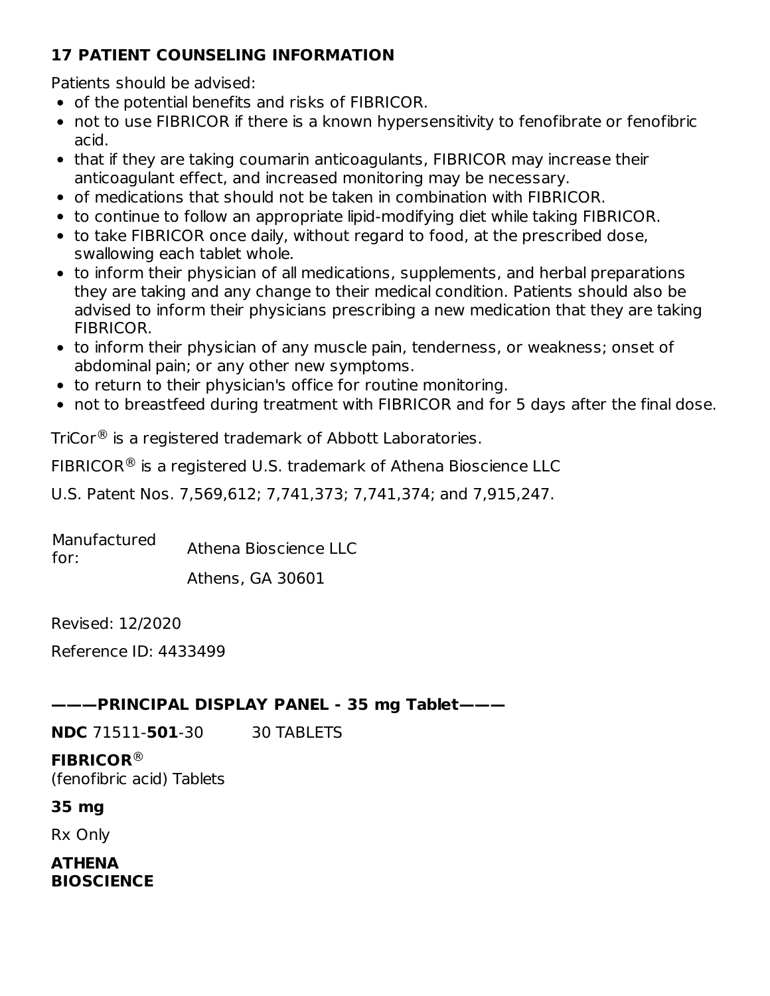## **17 PATIENT COUNSELING INFORMATION**

Patients should be advised:

- of the potential benefits and risks of FIBRICOR.
- not to use FIBRICOR if there is a known hypersensitivity to fenofibrate or fenofibric acid.
- that if they are taking coumarin anticoagulants, FIBRICOR may increase their anticoagulant effect, and increased monitoring may be necessary.
- of medications that should not be taken in combination with FIBRICOR.
- to continue to follow an appropriate lipid-modifying diet while taking FIBRICOR.
- to take FIBRICOR once daily, without regard to food, at the prescribed dose, swallowing each tablet whole.
- to inform their physician of all medications, supplements, and herbal preparations they are taking and any change to their medical condition. Patients should also be advised to inform their physicians prescribing a new medication that they are taking FIBRICOR.
- to inform their physician of any muscle pain, tenderness, or weakness; onset of abdominal pain; or any other new symptoms.
- to return to their physician's office for routine monitoring.
- not to breastfeed during treatment with FIBRICOR and for 5 days after the final dose.

TriCor $^\circledR$  is a registered trademark of Abbott Laboratories.

FIBRICOR $^{\circledR}$  is a registered U.S. trademark of Athena Bioscience LLC

U.S. Patent Nos. 7,569,612; 7,741,373; 7,741,374; and 7,915,247.

Manufactured for: Athena Bioscience LLC Athens, GA 30601

Revised: 12/2020

Reference ID: 4433499

#### **———PRINCIPAL DISPLAY PANEL - 35 mg Tablet———**

**NDC** 71511-**501**-30 30 TABLETS

**FIBRICOR** ®(fenofibric acid) Tablets

#### **35 mg**

Rx Only

**ATHENA BIOSCIENCE**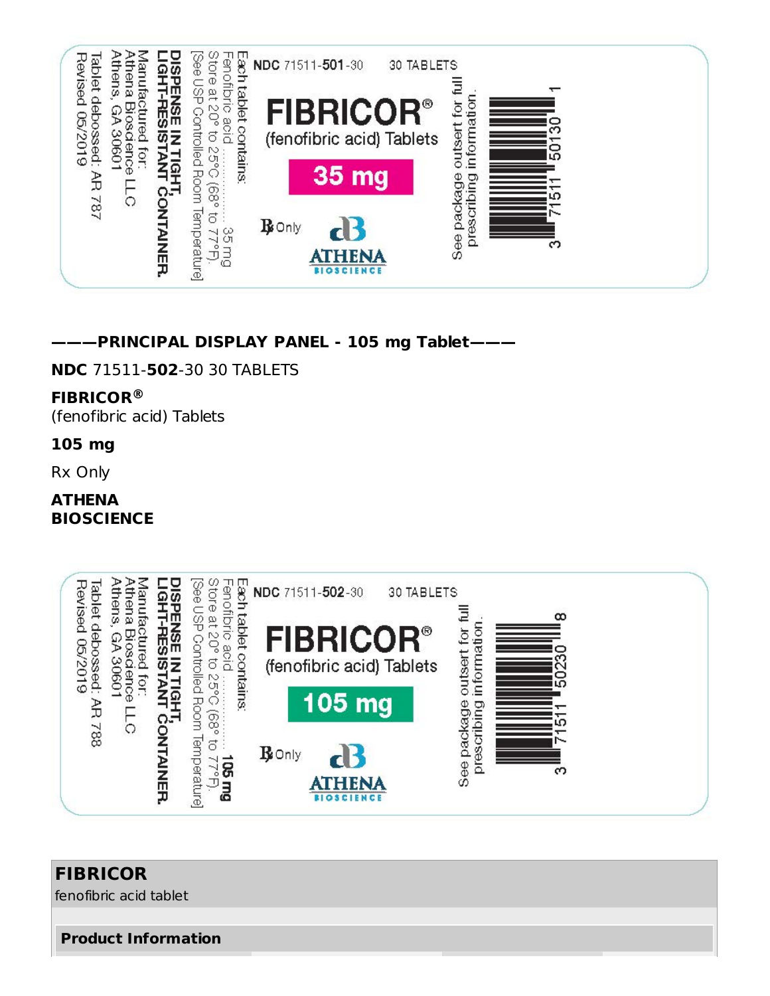

**———PRINCIPAL DISPLAY PANEL - 105 mg Tablet———**

**NDC** 71511-**502**-30 30 TABLETS

#### **FIBRICOR ®**

(fenofibric acid) Tablets

#### **105 mg**

Rx Only

#### **ATHENA BIOSCIENCE**



# **FIBRICOR**

fenofibric acid tablet

#### **Product Information**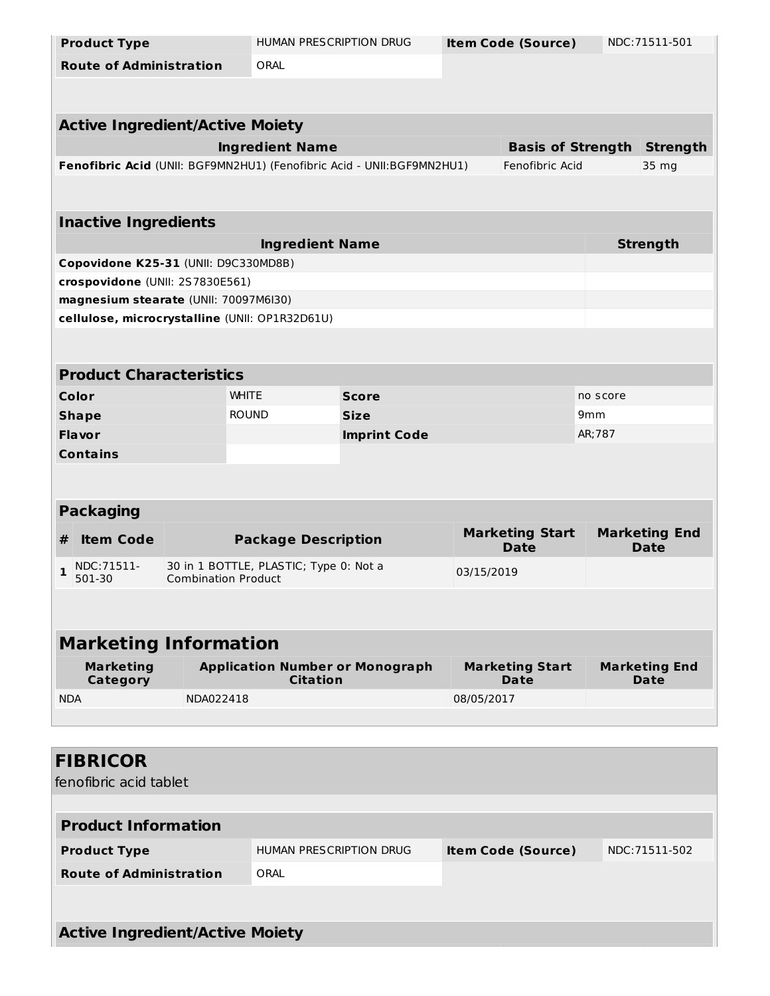| <b>Product Type</b>                    |                            | HUMAN PRESCRIPTION DRUG                                                 |                         |             | <b>Item Code (Source)</b>      |                 | NDC:71511-501                |  |
|----------------------------------------|----------------------------|-------------------------------------------------------------------------|-------------------------|-------------|--------------------------------|-----------------|------------------------------|--|
| <b>Route of Administration</b>         |                            | ORAL                                                                    |                         |             |                                |                 |                              |  |
|                                        |                            |                                                                         |                         |             |                                |                 |                              |  |
|                                        |                            |                                                                         |                         |             |                                |                 |                              |  |
| <b>Active Ingredient/Active Moiety</b> |                            |                                                                         |                         |             |                                |                 |                              |  |
|                                        |                            | <b>Ingredient Name</b>                                                  |                         |             | <b>Basis of Strength</b>       |                 | <b>Strength</b>              |  |
|                                        |                            | Fenofibric Acid (UNII: BGF9MN2HU1) (Fenofibric Acid - UNII: BGF9MN2HU1) |                         |             | Fenofibric Acid                |                 | 35 mg                        |  |
|                                        |                            |                                                                         |                         |             |                                |                 |                              |  |
| <b>Inactive Ingredients</b>            |                            |                                                                         |                         |             |                                |                 |                              |  |
|                                        |                            | <b>Ingredient Name</b>                                                  |                         |             |                                |                 | <b>Strength</b>              |  |
| Copovidone K25-31 (UNII: D9C330MD8B)   |                            |                                                                         |                         |             |                                |                 |                              |  |
| crospovidone (UNII: 2S7830E561)        |                            |                                                                         |                         |             |                                |                 |                              |  |
| magnesium stearate (UNII: 70097M6I30)  |                            |                                                                         |                         |             |                                |                 |                              |  |
|                                        |                            | cellulose, microcrystalline (UNII: OP1R32D61U)                          |                         |             |                                |                 |                              |  |
|                                        |                            |                                                                         |                         |             |                                |                 |                              |  |
|                                        |                            |                                                                         |                         |             |                                |                 |                              |  |
| <b>Product Characteristics</b>         |                            |                                                                         |                         |             |                                |                 |                              |  |
| Color                                  |                            | <b>WHITE</b>                                                            | <b>Score</b>            |             |                                | no score        |                              |  |
| <b>Shape</b>                           |                            | <b>ROUND</b>                                                            | <b>Size</b>             |             |                                | 9 <sub>mm</sub> |                              |  |
| <b>Flavor</b>                          |                            |                                                                         | <b>Imprint Code</b>     |             |                                | AR; 787         |                              |  |
| <b>Contains</b>                        |                            |                                                                         |                         |             |                                |                 |                              |  |
|                                        |                            |                                                                         |                         |             |                                |                 |                              |  |
|                                        |                            |                                                                         |                         |             |                                |                 |                              |  |
| <b>Packaging</b>                       |                            |                                                                         |                         |             |                                |                 |                              |  |
| <b>Item Code</b><br>#                  |                            | <b>Package Description</b>                                              |                         |             | <b>Marketing Start</b>         |                 | <b>Marketing End</b>         |  |
|                                        |                            |                                                                         |                         | <b>Date</b> |                                |                 | <b>Date</b>                  |  |
| NDC: 71511-<br>$\mathbf{1}$<br>501-30  | <b>Combination Product</b> | 30 in 1 BOTTLE, PLASTIC; Type 0: Not a                                  | 03/15/2019              |             |                                |                 |                              |  |
|                                        |                            |                                                                         |                         |             |                                |                 |                              |  |
|                                        |                            |                                                                         |                         |             |                                |                 |                              |  |
| <b>Marketing Information</b>           |                            |                                                                         |                         |             |                                |                 |                              |  |
|                                        |                            |                                                                         |                         |             |                                |                 |                              |  |
| <b>Marketing</b><br>Category           |                            | <b>Application Number or Monograph</b><br><b>Citation</b>               |                         |             | <b>Marketing Start</b><br>Date |                 | <b>Marketing End</b><br>Date |  |
| <b>NDA</b>                             | NDA022418                  |                                                                         |                         | 08/05/2017  |                                |                 |                              |  |
|                                        |                            |                                                                         |                         |             |                                |                 |                              |  |
|                                        |                            |                                                                         |                         |             |                                |                 |                              |  |
| <b>FIBRICOR</b>                        |                            |                                                                         |                         |             |                                |                 |                              |  |
| fenofibric acid tablet                 |                            |                                                                         |                         |             |                                |                 |                              |  |
|                                        |                            |                                                                         |                         |             |                                |                 |                              |  |
| <b>Product Information</b>             |                            |                                                                         |                         |             |                                |                 |                              |  |
| <b>Product Type</b>                    |                            |                                                                         | HUMAN PRESCRIPTION DRUG |             | <b>Item Code (Source)</b>      |                 | NDC: 71511-502               |  |
| <b>Route of Administration</b>         |                            | ORAL                                                                    |                         |             |                                |                 |                              |  |
|                                        |                            |                                                                         |                         |             |                                |                 |                              |  |
|                                        |                            |                                                                         |                         |             |                                |                 |                              |  |

**Active Ingredient/Active Moiety**